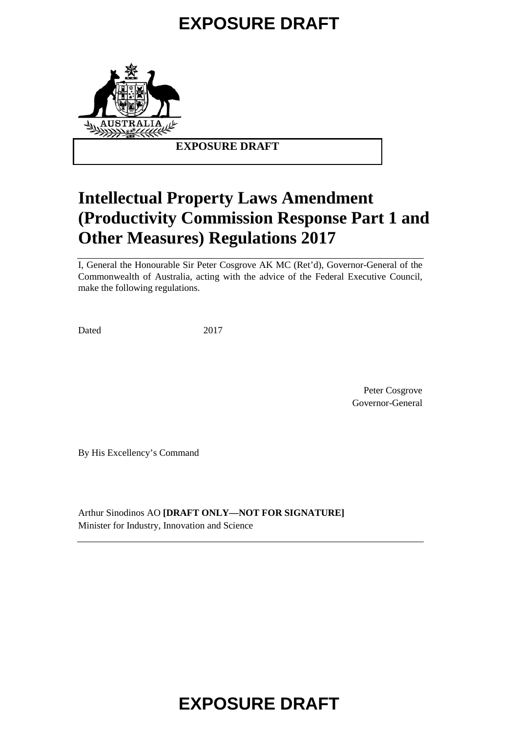

### **EXPOSURE DRAFT**

# **Intellectual Property Laws Amendment (Productivity Commission Response Part 1 and Other Measures) Regulations 2017**

I, General the Honourable Sir Peter Cosgrove AK MC (Ret'd), Governor-General of the Commonwealth of Australia, acting with the advice of the Federal Executive Council, make the following regulations.

Dated 2017

Peter Cosgrove Governor-General

By His Excellency's Command

Arthur Sinodinos AO **[DRAFT ONLY—NOT FOR SIGNATURE]** Minister for Industry, Innovation and Science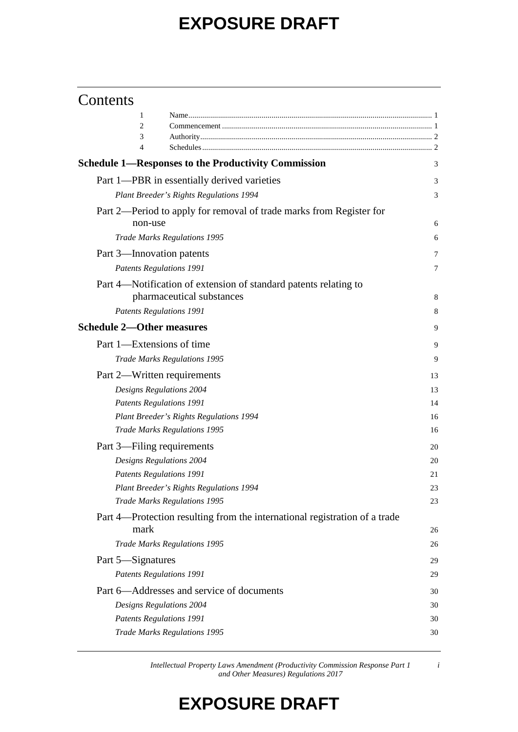## Contents

| 1                                                                                  |    |
|------------------------------------------------------------------------------------|----|
| 2                                                                                  |    |
| 3                                                                                  |    |
| 4                                                                                  |    |
| <b>Schedule 1—Responses to the Productivity Commission</b>                         | 3  |
| Part 1—PBR in essentially derived varieties                                        | 3  |
| Plant Breeder's Rights Regulations 1994                                            | 3  |
| Part 2—Period to apply for removal of trade marks from Register for<br>non-use     | 6  |
| <b>Trade Marks Regulations 1995</b>                                                | 6  |
| Part 3—Innovation patents                                                          | 7  |
| <b>Patents Regulations 1991</b>                                                    | 7  |
| Part 4-Notification of extension of standard patents relating to                   |    |
| pharmaceutical substances                                                          | 8  |
| <b>Patents Regulations 1991</b>                                                    | 8  |
| <b>Schedule 2-Other measures</b>                                                   | 9  |
| Part 1—Extensions of time                                                          | 9  |
| <b>Trade Marks Regulations 1995</b>                                                | 9  |
| Part 2—Written requirements                                                        | 13 |
| Designs Regulations 2004                                                           | 13 |
| <b>Patents Regulations 1991</b>                                                    | 14 |
| Plant Breeder's Rights Regulations 1994                                            | 16 |
| <b>Trade Marks Regulations 1995</b>                                                | 16 |
| Part 3—Filing requirements                                                         | 20 |
| Designs Regulations 2004                                                           | 20 |
| <b>Patents Regulations 1991</b>                                                    | 21 |
| Plant Breeder's Rights Regulations 1994                                            | 23 |
| <b>Trade Marks Regulations 1995</b>                                                | 23 |
| Part 4—Protection resulting from the international registration of a trade<br>mark | 26 |
| <b>Trade Marks Regulations 1995</b>                                                | 26 |
| Part 5-Signatures                                                                  | 29 |
| <b>Patents Regulations 1991</b>                                                    | 29 |
| Part 6—Addresses and service of documents                                          | 30 |
| Designs Regulations 2004                                                           | 30 |
| <b>Patents Regulations 1991</b>                                                    | 30 |
| <b>Trade Marks Regulations 1995</b>                                                | 30 |
|                                                                                    |    |

*Intellectual Property Laws Amendment (Productivity Commission Response Part 1 and Other Measures) Regulations 2017*

*i*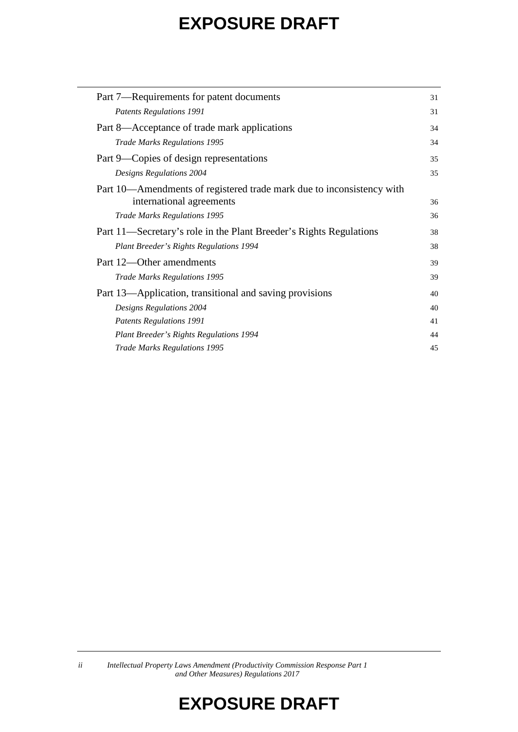| Part 7—Requirements for patent documents                              | 31 |
|-----------------------------------------------------------------------|----|
| <b>Patents Regulations 1991</b>                                       | 31 |
| Part 8—Acceptance of trade mark applications                          | 34 |
| <b>Trade Marks Regulations 1995</b>                                   | 34 |
| Part 9—Copies of design representations                               | 35 |
| Designs Regulations 2004                                              | 35 |
| Part 10—Amendments of registered trade mark due to inconsistency with |    |
| international agreements                                              | 36 |
| <b>Trade Marks Regulations 1995</b>                                   | 36 |
| Part 11—Secretary's role in the Plant Breeder's Rights Regulations    | 38 |
| Plant Breeder's Rights Regulations 1994                               | 38 |
| Part 12—Other amendments                                              | 39 |
| <b>Trade Marks Regulations 1995</b>                                   | 39 |
| Part 13—Application, transitional and saving provisions               | 40 |
| Designs Regulations 2004                                              | 40 |
| <b>Patents Regulations 1991</b>                                       | 41 |
| Plant Breeder's Rights Regulations 1994                               | 44 |
| <b>Trade Marks Regulations 1995</b>                                   | 45 |

*ii Intellectual Property Laws Amendment (Productivity Commission Response Part 1 and Other Measures) Regulations 2017*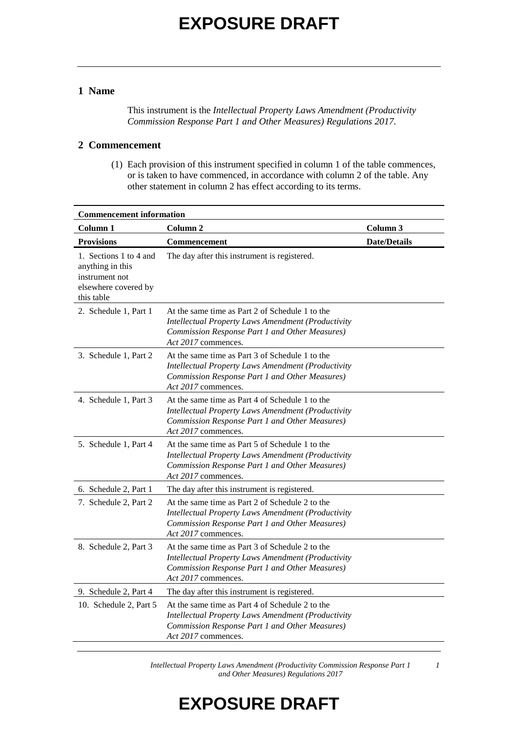#### **1 Name**

This instrument is the *Intellectual Property Laws Amendment (Productivity Commission Response Part 1 and Other Measures) Regulations 2017*.

#### **2 Commencement**

(1) Each provision of this instrument specified in column 1 of the table commences, or is taken to have commenced, in accordance with column 2 of the table. Any other statement in column 2 has effect according to its terms.

| <b>Commencement information</b>                                                                    |                                                                                                                                                                                       |                     |  |
|----------------------------------------------------------------------------------------------------|---------------------------------------------------------------------------------------------------------------------------------------------------------------------------------------|---------------------|--|
| Column 1                                                                                           | Column 2                                                                                                                                                                              | Column 3            |  |
| <b>Provisions</b>                                                                                  | Commencement                                                                                                                                                                          | <b>Date/Details</b> |  |
| 1. Sections 1 to 4 and<br>anything in this<br>instrument not<br>elsewhere covered by<br>this table | The day after this instrument is registered.                                                                                                                                          |                     |  |
| 2. Schedule 1, Part 1                                                                              | At the same time as Part 2 of Schedule 1 to the<br><b>Intellectual Property Laws Amendment (Productivity</b><br>Commission Response Part 1 and Other Measures)<br>Act 2017 commences. |                     |  |
| 3. Schedule 1, Part 2                                                                              | At the same time as Part 3 of Schedule 1 to the<br><b>Intellectual Property Laws Amendment (Productivity</b><br>Commission Response Part 1 and Other Measures)<br>Act 2017 commences. |                     |  |
| 4. Schedule 1, Part 3                                                                              | At the same time as Part 4 of Schedule 1 to the<br><b>Intellectual Property Laws Amendment (Productivity</b><br>Commission Response Part 1 and Other Measures)<br>Act 2017 commences. |                     |  |
| 5. Schedule 1, Part 4                                                                              | At the same time as Part 5 of Schedule 1 to the<br><b>Intellectual Property Laws Amendment (Productivity</b><br>Commission Response Part 1 and Other Measures)<br>Act 2017 commences. |                     |  |
| 6. Schedule 2, Part 1                                                                              | The day after this instrument is registered.                                                                                                                                          |                     |  |
| 7. Schedule 2, Part 2                                                                              | At the same time as Part 2 of Schedule 2 to the<br><b>Intellectual Property Laws Amendment (Productivity</b><br>Commission Response Part 1 and Other Measures)<br>Act 2017 commences. |                     |  |
| 8. Schedule 2, Part 3                                                                              | At the same time as Part 3 of Schedule 2 to the<br><b>Intellectual Property Laws Amendment (Productivity</b><br>Commission Response Part 1 and Other Measures)<br>Act 2017 commences. |                     |  |
| 9. Schedule 2, Part 4                                                                              | The day after this instrument is registered.                                                                                                                                          |                     |  |
| 10. Schedule 2, Part 5                                                                             | At the same time as Part 4 of Schedule 2 to the<br><b>Intellectual Property Laws Amendment (Productivity</b><br>Commission Response Part 1 and Other Measures)<br>Act 2017 commences. |                     |  |

*Intellectual Property Laws Amendment (Productivity Commission Response Part 1 and Other Measures) Regulations 2017*

*1*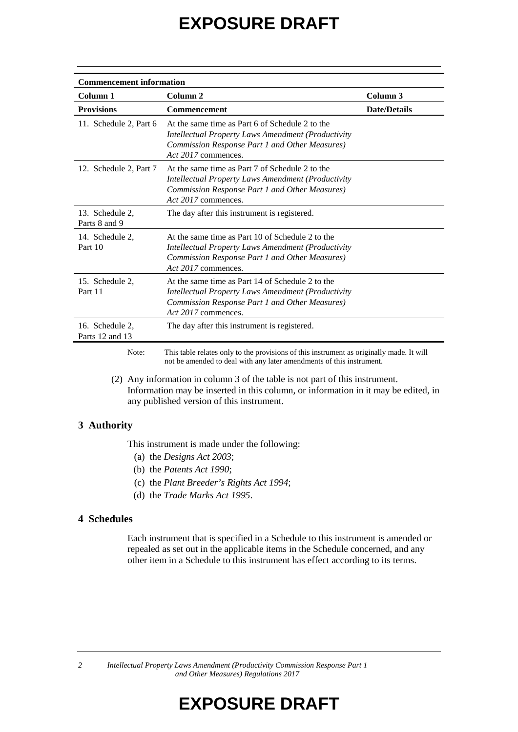| <b>Commencement information</b>    |                                                                                                                                                                                        |                     |  |  |
|------------------------------------|----------------------------------------------------------------------------------------------------------------------------------------------------------------------------------------|---------------------|--|--|
| Column 1                           | Column 2                                                                                                                                                                               | Column 3            |  |  |
| <b>Provisions</b>                  | Commencement                                                                                                                                                                           | <b>Date/Details</b> |  |  |
| 11. Schedule 2, Part 6             | At the same time as Part 6 of Schedule 2 to the<br><b>Intellectual Property Laws Amendment (Productivity</b><br>Commission Response Part 1 and Other Measures)<br>Act 2017 commences.  |                     |  |  |
| 12. Schedule 2, Part 7             | At the same time as Part 7 of Schedule 2 to the<br><i>Intellectual Property Laws Amendment (Productivity</i><br>Commission Response Part 1 and Other Measures)<br>Act 2017 commences.  |                     |  |  |
| 13. Schedule 2,<br>Parts 8 and 9   | The day after this instrument is registered.                                                                                                                                           |                     |  |  |
| 14. Schedule 2,<br>Part 10         | At the same time as Part 10 of Schedule 2 to the<br><i>Intellectual Property Laws Amendment (Productivity</i><br>Commission Response Part 1 and Other Measures)<br>Act 2017 commences. |                     |  |  |
| 15. Schedule 2,<br>Part 11         | At the same time as Part 14 of Schedule 2 to the<br>Intellectual Property Laws Amendment (Productivity<br>Commission Response Part 1 and Other Measures)<br>Act 2017 commences.        |                     |  |  |
| 16. Schedule 2,<br>Parts 12 and 13 | The day after this instrument is registered.                                                                                                                                           |                     |  |  |
|                                    |                                                                                                                                                                                        |                     |  |  |

Note: This table relates only to the provisions of this instrument as originally made. It will not be amended to deal with any later amendments of this instrument.

(2) Any information in column 3 of the table is not part of this instrument. Information may be inserted in this column, or information in it may be edited, in any published version of this instrument.

#### **3 Authority**

This instrument is made under the following:

- (a) the *Designs Act 2003*;
- (b) the *Patents Act 1990*;
- (c) the *Plant Breeder's Rights Act 1994*;
- (d) the *Trade Marks Act 1995*.

#### **4 Schedules**

Each instrument that is specified in a Schedule to this instrument is amended or repealed as set out in the applicable items in the Schedule concerned, and any other item in a Schedule to this instrument has effect according to its terms.

*2 Intellectual Property Laws Amendment (Productivity Commission Response Part 1 and Other Measures) Regulations 2017*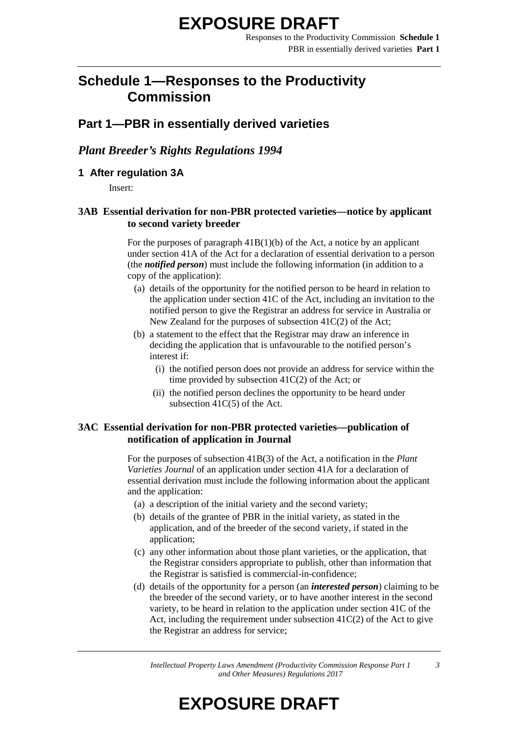## **Schedule 1—Responses to the Productivity Commission**

### **Part 1—PBR in essentially derived varieties**

#### *Plant Breeder's Rights Regulations 1994*

#### **1 After regulation 3A**

Insert:

#### **3AB Essential derivation for non-PBR protected varieties—notice by applicant to second variety breeder**

For the purposes of paragraph  $41B(1)(b)$  of the Act, a notice by an applicant under section 41A of the Act for a declaration of essential derivation to a person (the *notified person*) must include the following information (in addition to a copy of the application):

- (a) details of the opportunity for the notified person to be heard in relation to the application under section 41C of the Act, including an invitation to the notified person to give the Registrar an address for service in Australia or New Zealand for the purposes of subsection 41C(2) of the Act;
- (b) a statement to the effect that the Registrar may draw an inference in deciding the application that is unfavourable to the notified person's interest if:
	- (i) the notified person does not provide an address for service within the time provided by subsection 41C(2) of the Act; or
	- (ii) the notified person declines the opportunity to be heard under subsection 41C(5) of the Act.

#### **3AC Essential derivation for non-PBR protected varieties—publication of notification of application in Journal**

For the purposes of subsection 41B(3) of the Act, a notification in the *Plant Varieties Journal* of an application under section 41A for a declaration of essential derivation must include the following information about the applicant and the application:

- (a) a description of the initial variety and the second variety;
- (b) details of the grantee of PBR in the initial variety, as stated in the application, and of the breeder of the second variety, if stated in the application;
- (c) any other information about those plant varieties, or the application, that the Registrar considers appropriate to publish, other than information that the Registrar is satisfied is commercial-in-confidence;
- (d) details of the opportunity for a person (an *interested person*) claiming to be the breeder of the second variety, or to have another interest in the second variety, to be heard in relation to the application under section 41C of the Act, including the requirement under subsection  $41C(2)$  of the Act to give the Registrar an address for service;

*Intellectual Property Laws Amendment (Productivity Commission Response Part 1 and Other Measures) Regulations 2017*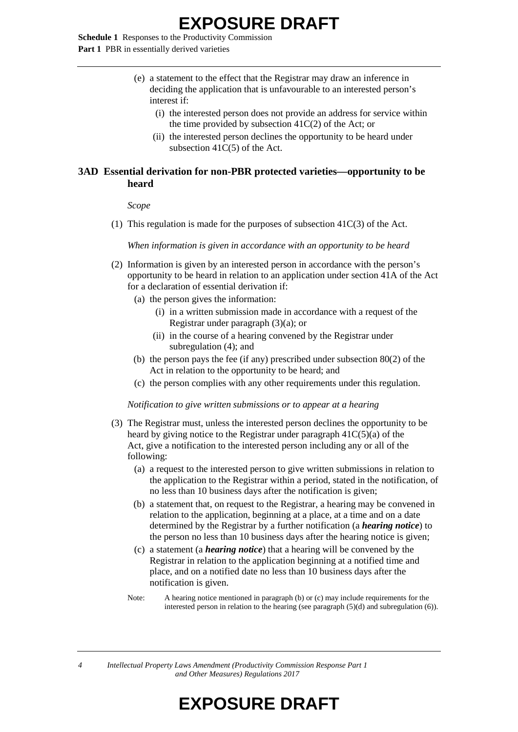**Schedule 1** Responses to the Productivity Commission **Part 1** PBR in essentially derived varieties

- (e) a statement to the effect that the Registrar may draw an inference in deciding the application that is unfavourable to an interested person's interest if:
	- (i) the interested person does not provide an address for service within the time provided by subsection 41C(2) of the Act; or
	- (ii) the interested person declines the opportunity to be heard under subsection 41C(5) of the Act.

#### **3AD Essential derivation for non-PBR protected varieties—opportunity to be heard**

*Scope*

(1) This regulation is made for the purposes of subsection  $41C(3)$  of the Act.

*When information is given in accordance with an opportunity to be heard*

- (2) Information is given by an interested person in accordance with the person's opportunity to be heard in relation to an application under section 41A of the Act for a declaration of essential derivation if:
	- (a) the person gives the information:
		- (i) in a written submission made in accordance with a request of the Registrar under paragraph  $(3)(a)$ ; or
		- (ii) in the course of a hearing convened by the Registrar under subregulation (4); and
	- (b) the person pays the fee (if any) prescribed under subsection 80(2) of the Act in relation to the opportunity to be heard; and
	- (c) the person complies with any other requirements under this regulation.

*Notification to give written submissions or to appear at a hearing*

- (3) The Registrar must, unless the interested person declines the opportunity to be heard by giving notice to the Registrar under paragraph 41C(5)(a) of the Act, give a notification to the interested person including any or all of the following:
	- (a) a request to the interested person to give written submissions in relation to the application to the Registrar within a period, stated in the notification, of no less than 10 business days after the notification is given;
	- (b) a statement that, on request to the Registrar, a hearing may be convened in relation to the application, beginning at a place, at a time and on a date determined by the Registrar by a further notification (a *hearing notice*) to the person no less than 10 business days after the hearing notice is given;
	- (c) a statement (a *hearing notice*) that a hearing will be convened by the Registrar in relation to the application beginning at a notified time and place, and on a notified date no less than 10 business days after the notification is given.
	- Note: A hearing notice mentioned in paragraph (b) or (c) may include requirements for the interested person in relation to the hearing (see paragraph (5)(d) and subregulation (6)).

*4 Intellectual Property Laws Amendment (Productivity Commission Response Part 1 and Other Measures) Regulations 2017*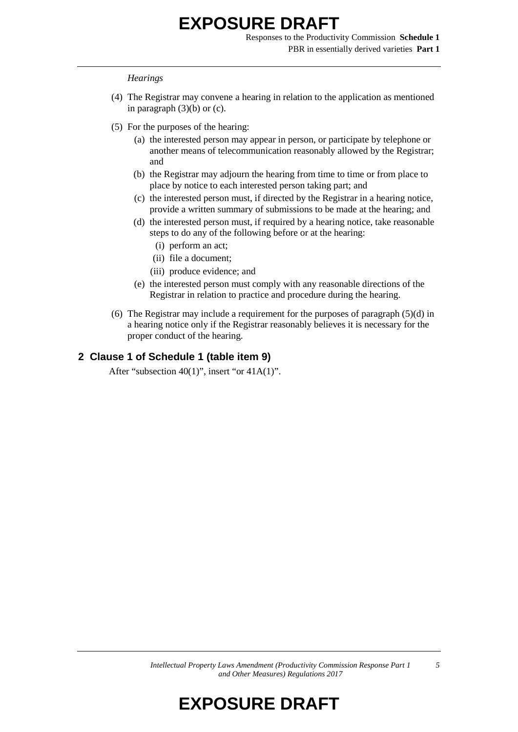Responses to the Productivity Commission **Schedule 1** PBR in essentially derived varieties **Part 1**

#### *Hearings*

- (4) The Registrar may convene a hearing in relation to the application as mentioned in paragraph  $(3)(b)$  or  $(c)$ .
- (5) For the purposes of the hearing:
	- (a) the interested person may appear in person, or participate by telephone or another means of telecommunication reasonably allowed by the Registrar; and
	- (b) the Registrar may adjourn the hearing from time to time or from place to place by notice to each interested person taking part; and
	- (c) the interested person must, if directed by the Registrar in a hearing notice, provide a written summary of submissions to be made at the hearing; and
	- (d) the interested person must, if required by a hearing notice, take reasonable steps to do any of the following before or at the hearing:
		- (i) perform an act;
		- (ii) file a document;
		- (iii) produce evidence; and
	- (e) the interested person must comply with any reasonable directions of the Registrar in relation to practice and procedure during the hearing.
- (6) The Registrar may include a requirement for the purposes of paragraph (5)(d) in a hearing notice only if the Registrar reasonably believes it is necessary for the proper conduct of the hearing.

#### **2 Clause 1 of Schedule 1 (table item 9)**

After "subsection 40(1)", insert "or 41A(1)".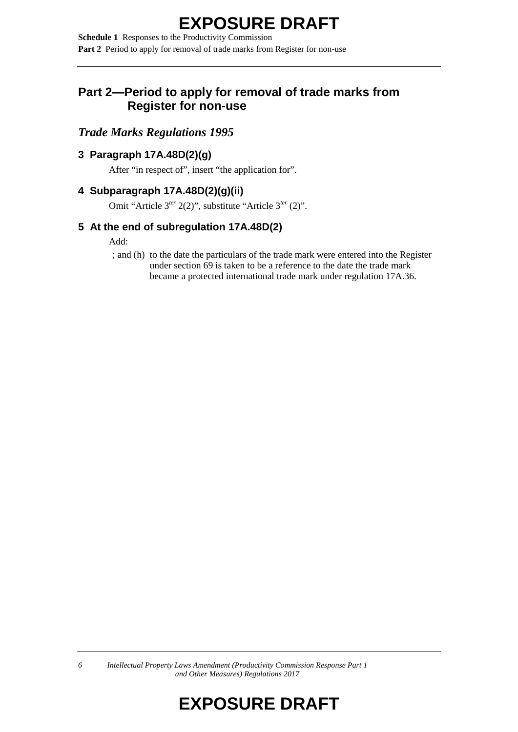**Schedule 1** Responses to the Productivity Commission **Part 2** Period to apply for removal of trade marks from Register for non-use

### **Part 2—Period to apply for removal of trade marks from Register for non-use**

### *Trade Marks Regulations 1995*

### **3 Paragraph 17A.48D(2)(g)**

After "in respect of", insert "the application for".

### **4 Subparagraph 17A.48D(2)(g)(ii)**

Omit "Article 3*ter* 2(2)", substitute "Article 3*ter* (2)".

### **5 At the end of subregulation 17A.48D(2)**

#### Add:

; and (h) to the date the particulars of the trade mark were entered into the Register under section 69 is taken to be a reference to the date the trade mark became a protected international trade mark under regulation 17A.36.

*6 Intellectual Property Laws Amendment (Productivity Commission Response Part 1 and Other Measures) Regulations 2017*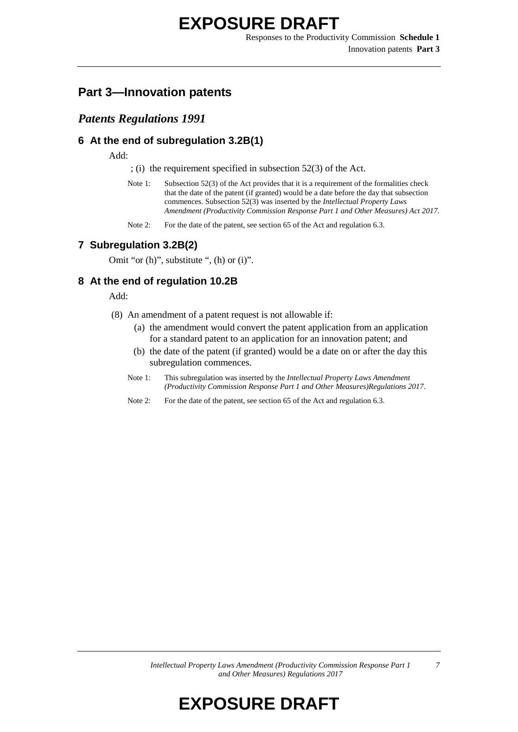Responses to the Productivity Commission **Schedule 1** Innovation patents **Part 3**

### **Part 3—Innovation patents**

#### *Patents Regulations 1991*

#### **6 At the end of subregulation 3.2B(1)**

Add:

; (i) the requirement specified in subsection 52(3) of the Act.

- Note 1: Subsection 52(3) of the Act provides that it is a requirement of the formalities check that the date of the patent (if granted) would be a date before the day that subsection commences. Subsection 52(3) was inserted by the *Intellectual Property Laws Amendment (Productivity Commission Response Part 1 and Other Measures) Act 2017.*
- Note 2: For the date of the patent, see section 65 of the Act and regulation 6.3.

#### **7 Subregulation 3.2B(2)**

Omit "or (h)", substitute ", (h) or (i)".

#### **8 At the end of regulation 10.2B**

Add:

- (8) An amendment of a patent request is not allowable if:
	- (a) the amendment would convert the patent application from an application for a standard patent to an application for an innovation patent; and
	- (b) the date of the patent (if granted) would be a date on or after the day this subregulation commences.
	- Note 1: This subregulation was inserted by the *Intellectual Property Laws Amendment (Productivity Commission Response Part 1 and Other Measures)Regulations 2017*.
	- Note 2: For the date of the patent, see section 65 of the Act and regulation 6.3.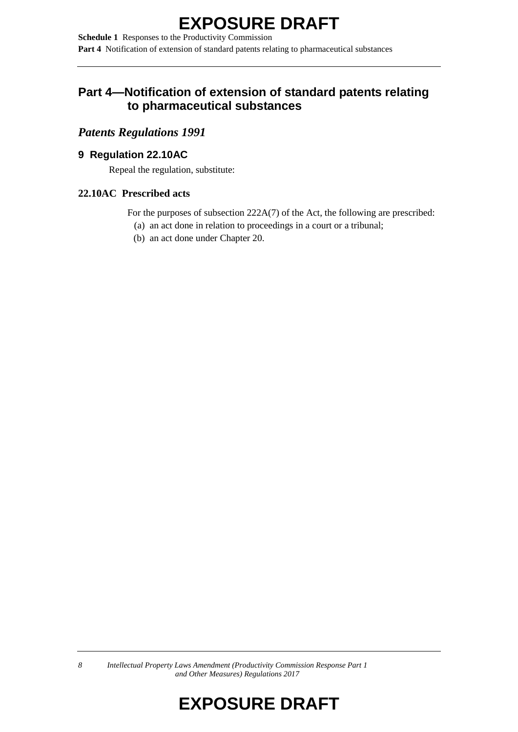**Schedule 1** Responses to the Productivity Commission **Part 4** Notification of extension of standard patents relating to pharmaceutical substances

### **Part 4—Notification of extension of standard patents relating to pharmaceutical substances**

### *Patents Regulations 1991*

### **9 Regulation 22.10AC**

Repeal the regulation, substitute:

### **22.10AC Prescribed acts**

For the purposes of subsection 222A(7) of the Act, the following are prescribed:

- (a) an act done in relation to proceedings in a court or a tribunal;
- (b) an act done under Chapter 20.

*8 Intellectual Property Laws Amendment (Productivity Commission Response Part 1 and Other Measures) Regulations 2017*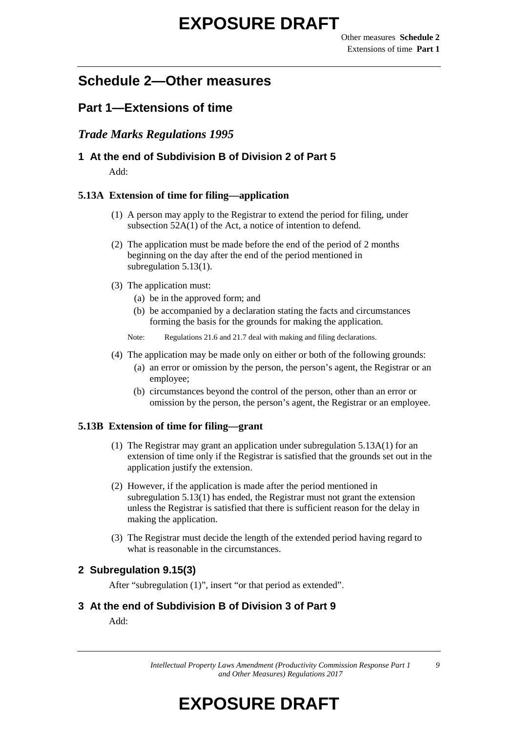## **Schedule 2—Other measures**

### **Part 1—Extensions of time**

### *Trade Marks Regulations 1995*

### **1 At the end of Subdivision B of Division 2 of Part 5**

Add:

#### **5.13A Extension of time for filing—application**

- (1) A person may apply to the Registrar to extend the period for filing, under subsection 52A(1) of the Act, a notice of intention to defend.
- (2) The application must be made before the end of the period of 2 months beginning on the day after the end of the period mentioned in subregulation 5.13(1).
- (3) The application must:
	- (a) be in the approved form; and
	- (b) be accompanied by a declaration stating the facts and circumstances forming the basis for the grounds for making the application.
	- Note: Regulations 21.6 and 21.7 deal with making and filing declarations.
- (4) The application may be made only on either or both of the following grounds:
	- (a) an error or omission by the person, the person's agent, the Registrar or an employee;
	- (b) circumstances beyond the control of the person, other than an error or omission by the person, the person's agent, the Registrar or an employee.

#### **5.13B Extension of time for filing—grant**

- (1) The Registrar may grant an application under subregulation 5.13A(1) for an extension of time only if the Registrar is satisfied that the grounds set out in the application justify the extension.
- (2) However, if the application is made after the period mentioned in subregulation 5.13(1) has ended, the Registrar must not grant the extension unless the Registrar is satisfied that there is sufficient reason for the delay in making the application.
- (3) The Registrar must decide the length of the extended period having regard to what is reasonable in the circumstances.

#### **2 Subregulation 9.15(3)**

After "subregulation (1)", insert "or that period as extended".

#### **3 At the end of Subdivision B of Division 3 of Part 9**

Add: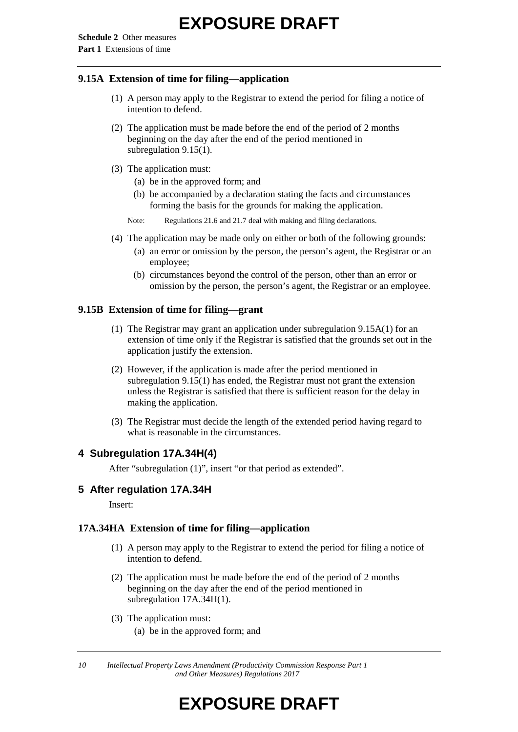#### **9.15A Extension of time for filing—application**

- (1) A person may apply to the Registrar to extend the period for filing a notice of intention to defend.
- (2) The application must be made before the end of the period of 2 months beginning on the day after the end of the period mentioned in subregulation 9.15(1).
- (3) The application must:
	- (a) be in the approved form; and
	- (b) be accompanied by a declaration stating the facts and circumstances forming the basis for the grounds for making the application.
	- Note: Regulations 21.6 and 21.7 deal with making and filing declarations.
- (4) The application may be made only on either or both of the following grounds:
	- (a) an error or omission by the person, the person's agent, the Registrar or an employee;
	- (b) circumstances beyond the control of the person, other than an error or omission by the person, the person's agent, the Registrar or an employee.

#### **9.15B Extension of time for filing—grant**

- (1) The Registrar may grant an application under subregulation 9.15A(1) for an extension of time only if the Registrar is satisfied that the grounds set out in the application justify the extension.
- (2) However, if the application is made after the period mentioned in subregulation 9.15(1) has ended, the Registrar must not grant the extension unless the Registrar is satisfied that there is sufficient reason for the delay in making the application.
- (3) The Registrar must decide the length of the extended period having regard to what is reasonable in the circumstances.

#### **4 Subregulation 17A.34H(4)**

After "subregulation (1)", insert "or that period as extended".

#### **5 After regulation 17A.34H**

Insert:

#### **17A.34HA Extension of time for filing—application**

- (1) A person may apply to the Registrar to extend the period for filing a notice of intention to defend.
- (2) The application must be made before the end of the period of 2 months beginning on the day after the end of the period mentioned in subregulation 17A.34H(1).
- (3) The application must:
	- (a) be in the approved form; and

*10 Intellectual Property Laws Amendment (Productivity Commission Response Part 1 and Other Measures) Regulations 2017*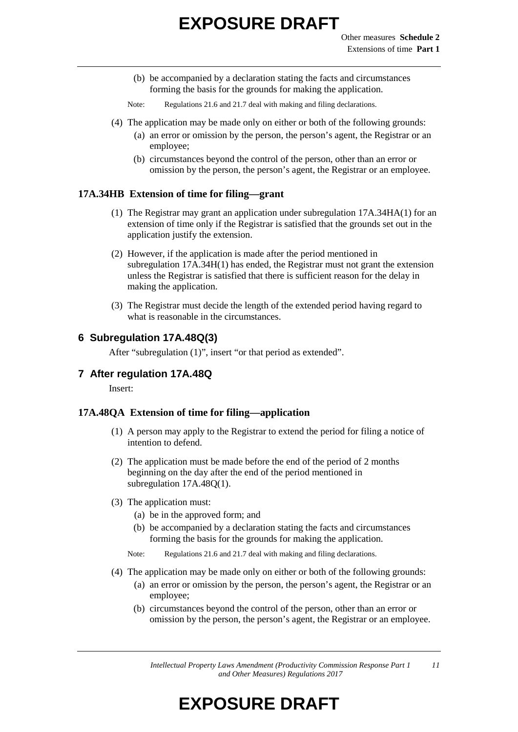- (b) be accompanied by a declaration stating the facts and circumstances forming the basis for the grounds for making the application.
- Note: Regulations 21.6 and 21.7 deal with making and filing declarations.
- (4) The application may be made only on either or both of the following grounds:
	- (a) an error or omission by the person, the person's agent, the Registrar or an employee;
	- (b) circumstances beyond the control of the person, other than an error or omission by the person, the person's agent, the Registrar or an employee.

#### **17A.34HB Extension of time for filing—grant**

- (1) The Registrar may grant an application under subregulation 17A.34HA(1) for an extension of time only if the Registrar is satisfied that the grounds set out in the application justify the extension.
- (2) However, if the application is made after the period mentioned in subregulation 17A.34H(1) has ended, the Registrar must not grant the extension unless the Registrar is satisfied that there is sufficient reason for the delay in making the application.
- (3) The Registrar must decide the length of the extended period having regard to what is reasonable in the circumstances.

### **6 Subregulation 17A.48Q(3)**

After "subregulation (1)", insert "or that period as extended".

#### **7 After regulation 17A.48Q**

Insert:

#### **17A.48QA Extension of time for filing—application**

- (1) A person may apply to the Registrar to extend the period for filing a notice of intention to defend.
- (2) The application must be made before the end of the period of 2 months beginning on the day after the end of the period mentioned in subregulation 17A.48Q(1).
- (3) The application must:
	- (a) be in the approved form; and
	- (b) be accompanied by a declaration stating the facts and circumstances forming the basis for the grounds for making the application.
	- Note: Regulations 21.6 and 21.7 deal with making and filing declarations.
- (4) The application may be made only on either or both of the following grounds:
	- (a) an error or omission by the person, the person's agent, the Registrar or an employee;
	- (b) circumstances beyond the control of the person, other than an error or omission by the person, the person's agent, the Registrar or an employee.

*Intellectual Property Laws Amendment (Productivity Commission Response Part 1 and Other Measures) Regulations 2017 11*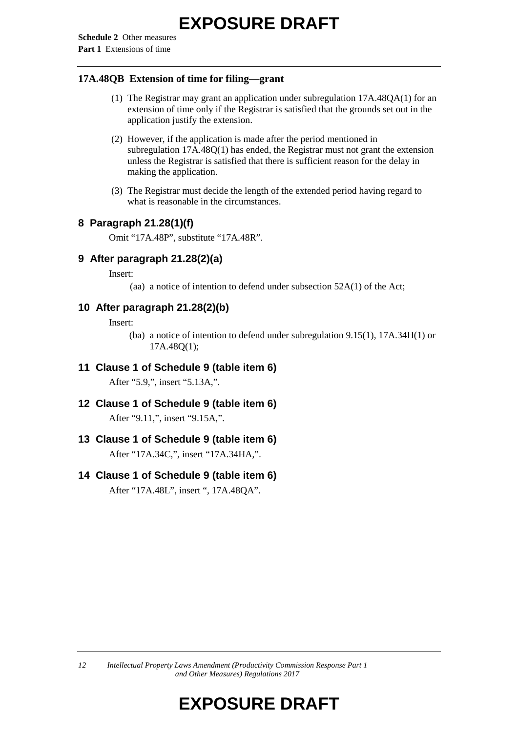#### **17A.48QB Extension of time for filing—grant**

- (1) The Registrar may grant an application under subregulation 17A.48QA(1) for an extension of time only if the Registrar is satisfied that the grounds set out in the application justify the extension.
- (2) However, if the application is made after the period mentioned in subregulation 17A.48Q(1) has ended, the Registrar must not grant the extension unless the Registrar is satisfied that there is sufficient reason for the delay in making the application.
- (3) The Registrar must decide the length of the extended period having regard to what is reasonable in the circumstances.

#### **8 Paragraph 21.28(1)(f)**

Omit "17A.48P", substitute "17A.48R".

#### **9 After paragraph 21.28(2)(a)**

Insert:

(aa) a notice of intention to defend under subsection 52A(1) of the Act;

#### **10 After paragraph 21.28(2)(b)**

Insert:

(ba) a notice of intention to defend under subregulation 9.15(1), 17A.34H(1) or 17A.48Q(1);

**11 Clause 1 of Schedule 9 (table item 6)**

After "5.9,", insert "5.13A,".

**12 Clause 1 of Schedule 9 (table item 6)** After "9.11,", insert "9.15A,".

## **13 Clause 1 of Schedule 9 (table item 6)**

After "17A.34C,", insert "17A.34HA,".

### **14 Clause 1 of Schedule 9 (table item 6)**

After "17A.48L", insert ", 17A.48QA".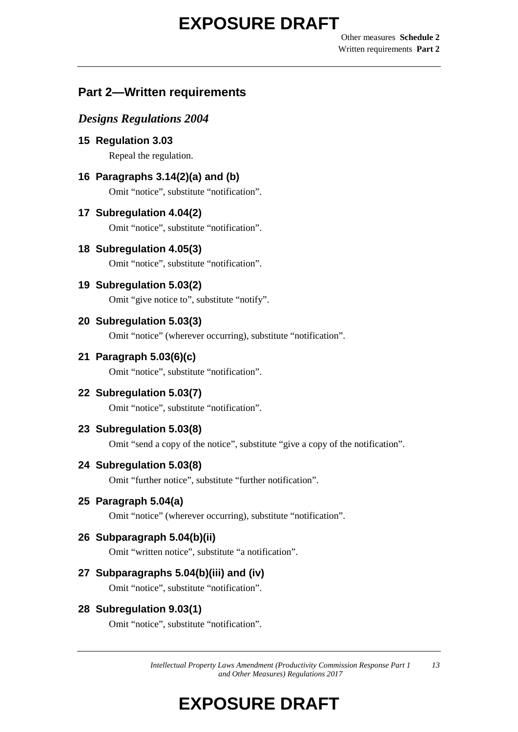Other measures **Schedule 2** Written requirements **Part 2**

### **Part 2—Written requirements**

### *Designs Regulations 2004*

**15 Regulation 3.03** Repeal the regulation.

**16 Paragraphs 3.14(2)(a) and (b)**

Omit "notice", substitute "notification".

**17 Subregulation 4.04(2)**

Omit "notice", substitute "notification".

- **18 Subregulation 4.05(3)** Omit "notice", substitute "notification".
	-
- **19 Subregulation 5.03(2)**

Omit "give notice to", substitute "notify".

**20 Subregulation 5.03(3)**

Omit "notice" (wherever occurring), substitute "notification".

**21 Paragraph 5.03(6)(c)**

Omit "notice", substitute "notification".

**22 Subregulation 5.03(7)**

Omit "notice", substitute "notification".

**23 Subregulation 5.03(8)**

Omit "send a copy of the notice", substitute "give a copy of the notification".

### **24 Subregulation 5.03(8)**

Omit "further notice", substitute "further notification".

### **25 Paragraph 5.04(a)**

Omit "notice" (wherever occurring), substitute "notification".

### **26 Subparagraph 5.04(b)(ii)**

Omit "written notice", substitute "a notification".

### **27 Subparagraphs 5.04(b)(iii) and (iv)**

Omit "notice", substitute "notification".

**28 Subregulation 9.03(1)**

Omit "notice", substitute "notification".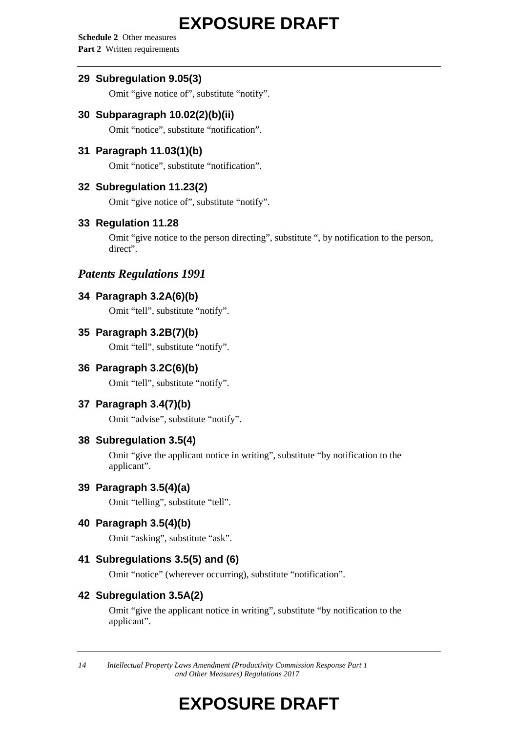**Schedule 2** Other measures **Part 2** Written requirements

#### **29 Subregulation 9.05(3)**

Omit "give notice of", substitute "notify".

### **30 Subparagraph 10.02(2)(b)(ii)**

Omit "notice", substitute "notification".

#### **31 Paragraph 11.03(1)(b)**

Omit "notice", substitute "notification".

#### **32 Subregulation 11.23(2)**

Omit "give notice of", substitute "notify".

#### **33 Regulation 11.28**

Omit "give notice to the person directing", substitute ", by notification to the person, direct".

### *Patents Regulations 1991*

#### **34 Paragraph 3.2A(6)(b)**

Omit "tell", substitute "notify".

#### **35 Paragraph 3.2B(7)(b)**

Omit "tell", substitute "notify".

#### **36 Paragraph 3.2C(6)(b)**

Omit "tell", substitute "notify".

#### **37 Paragraph 3.4(7)(b)**

Omit "advise", substitute "notify".

#### **38 Subregulation 3.5(4)**

Omit "give the applicant notice in writing", substitute "by notification to the applicant".

#### **39 Paragraph 3.5(4)(a)**

Omit "telling", substitute "tell".

### **40 Paragraph 3.5(4)(b)**

Omit "asking", substitute "ask".

### **41 Subregulations 3.5(5) and (6)**

Omit "notice" (wherever occurring), substitute "notification".

#### **42 Subregulation 3.5A(2)**

Omit "give the applicant notice in writing", substitute "by notification to the applicant".

*14 Intellectual Property Laws Amendment (Productivity Commission Response Part 1 and Other Measures) Regulations 2017*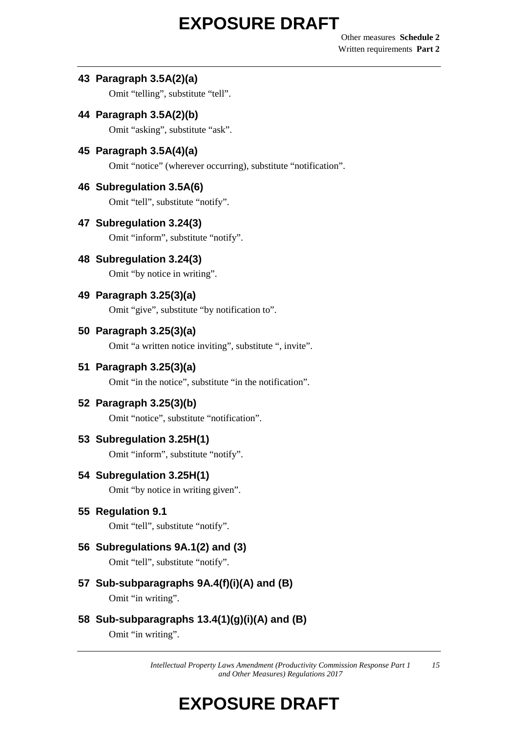Other measures **Schedule 2** Written requirements **Part 2**

#### **43 Paragraph 3.5A(2)(a)**

Omit "telling", substitute "tell".

**44 Paragraph 3.5A(2)(b)**

Omit "asking", substitute "ask".

**45 Paragraph 3.5A(4)(a)**

Omit "notice" (wherever occurring), substitute "notification".

### **46 Subregulation 3.5A(6)**

Omit "tell", substitute "notify".

**47 Subregulation 3.24(3)**

Omit "inform", substitute "notify".

**48 Subregulation 3.24(3)**

Omit "by notice in writing".

**49 Paragraph 3.25(3)(a)**

Omit "give", substitute "by notification to".

**50 Paragraph 3.25(3)(a)**

Omit "a written notice inviting", substitute ", invite".

**51 Paragraph 3.25(3)(a)**

Omit "in the notice", substitute "in the notification".

**52 Paragraph 3.25(3)(b)**

Omit "notice", substitute "notification".

**53 Subregulation 3.25H(1)**

Omit "inform", substitute "notify".

**54 Subregulation 3.25H(1)**

Omit "by notice in writing given".

**55 Regulation 9.1**

Omit "tell", substitute "notify".

**56 Subregulations 9A.1(2) and (3)**

Omit "tell", substitute "notify".

- **57 Sub-subparagraphs 9A.4(f)(i)(A) and (B)** Omit "in writing".
- **58 Sub-subparagraphs 13.4(1)(g)(i)(A) and (B)** Omit "in writing".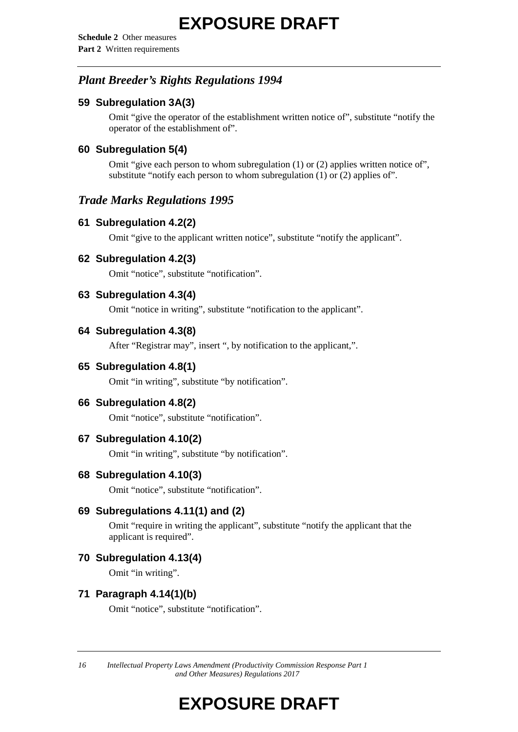**Schedule 2** Other measures **Part 2** Written requirements

### *Plant Breeder's Rights Regulations 1994*

### **59 Subregulation 3A(3)**

Omit "give the operator of the establishment written notice of", substitute "notify the operator of the establishment of".

### **60 Subregulation 5(4)**

Omit "give each person to whom subregulation (1) or (2) applies written notice of", substitute "notify each person to whom subregulation (1) or (2) applies of".

### *Trade Marks Regulations 1995*

#### **61 Subregulation 4.2(2)**

Omit "give to the applicant written notice", substitute "notify the applicant".

#### **62 Subregulation 4.2(3)**

Omit "notice", substitute "notification".

#### **63 Subregulation 4.3(4)**

Omit "notice in writing", substitute "notification to the applicant".

#### **64 Subregulation 4.3(8)**

After "Registrar may", insert ", by notification to the applicant,".

#### **65 Subregulation 4.8(1)**

Omit "in writing", substitute "by notification".

### **66 Subregulation 4.8(2)**

Omit "notice", substitute "notification".

#### **67 Subregulation 4.10(2)**

Omit "in writing", substitute "by notification".

#### **68 Subregulation 4.10(3)**

Omit "notice", substitute "notification".

### **69 Subregulations 4.11(1) and (2)**

Omit "require in writing the applicant", substitute "notify the applicant that the applicant is required".

### **70 Subregulation 4.13(4)**

Omit "in writing".

#### **71 Paragraph 4.14(1)(b)**

Omit "notice", substitute "notification".

*16 Intellectual Property Laws Amendment (Productivity Commission Response Part 1 and Other Measures) Regulations 2017*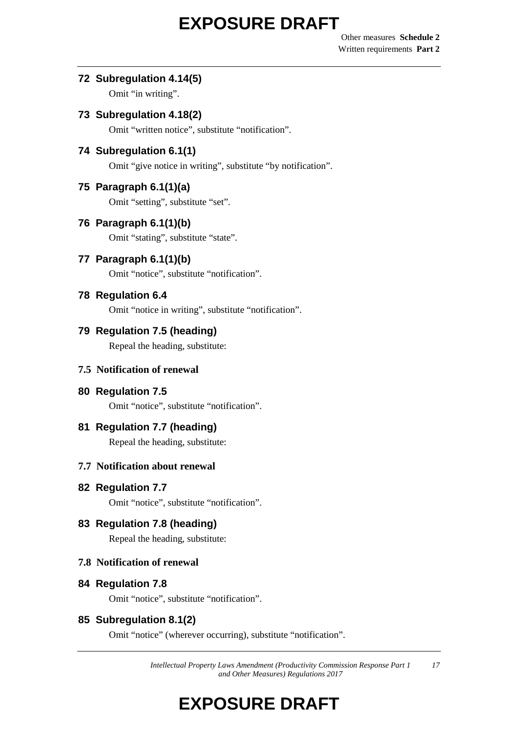Other measures **Schedule 2** Written requirements **Part 2**

#### **72 Subregulation 4.14(5)**

Omit "in writing".

### **73 Subregulation 4.18(2)**

Omit "written notice", substitute "notification".

### **74 Subregulation 6.1(1)**

Omit "give notice in writing", substitute "by notification".

### **75 Paragraph 6.1(1)(a)**

Omit "setting", substitute "set".

### **76 Paragraph 6.1(1)(b)**

Omit "stating", substitute "state".

### **77 Paragraph 6.1(1)(b)**

Omit "notice", substitute "notification".

### **78 Regulation 6.4**

Omit "notice in writing", substitute "notification".

### **79 Regulation 7.5 (heading)**

Repeal the heading, substitute:

### **7.5 Notification of renewal**

### **80 Regulation 7.5**

Omit "notice", substitute "notification".

### **81 Regulation 7.7 (heading)**

Repeal the heading, substitute:

### **7.7 Notification about renewal**

### **82 Regulation 7.7**

Omit "notice", substitute "notification".

## **83 Regulation 7.8 (heading)**

Repeal the heading, substitute:

### **7.8 Notification of renewal**

### **84 Regulation 7.8**

Omit "notice", substitute "notification".

### **85 Subregulation 8.1(2)**

Omit "notice" (wherever occurring), substitute "notification".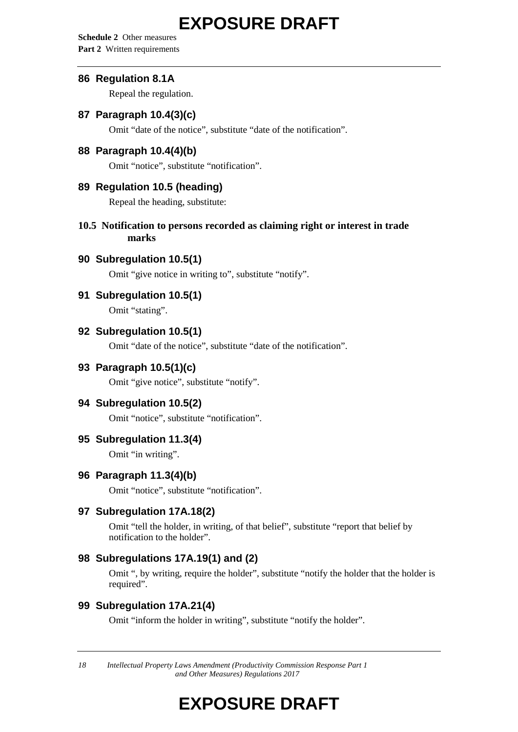**Schedule 2** Other measures **Part 2** Written requirements

#### **86 Regulation 8.1A**

Repeal the regulation.

#### **87 Paragraph 10.4(3)(c)**

Omit "date of the notice", substitute "date of the notification".

#### **88 Paragraph 10.4(4)(b)**

Omit "notice", substitute "notification".

#### **89 Regulation 10.5 (heading)**

Repeal the heading, substitute:

#### **10.5 Notification to persons recorded as claiming right or interest in trade marks**

#### **90 Subregulation 10.5(1)**

Omit "give notice in writing to", substitute "notify".

### **91 Subregulation 10.5(1)**

Omit "stating".

#### **92 Subregulation 10.5(1)**

Omit "date of the notice", substitute "date of the notification".

#### **93 Paragraph 10.5(1)(c)**

Omit "give notice", substitute "notify".

#### **94 Subregulation 10.5(2)**

Omit "notice", substitute "notification".

#### **95 Subregulation 11.3(4)**

Omit "in writing".

#### **96 Paragraph 11.3(4)(b)**

Omit "notice", substitute "notification".

#### **97 Subregulation 17A.18(2)**

Omit "tell the holder, in writing, of that belief", substitute "report that belief by notification to the holder".

### **98 Subregulations 17A.19(1) and (2)**

Omit ", by writing, require the holder", substitute "notify the holder that the holder is required".

#### **99 Subregulation 17A.21(4)**

Omit "inform the holder in writing", substitute "notify the holder".

*18 Intellectual Property Laws Amendment (Productivity Commission Response Part 1 and Other Measures) Regulations 2017*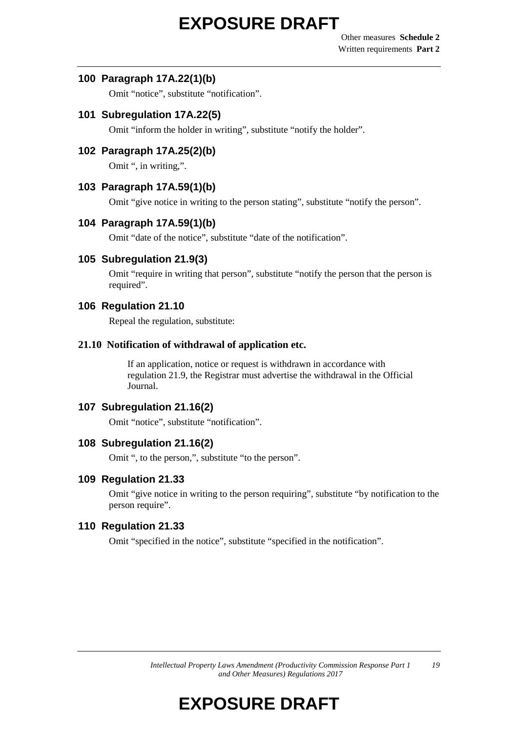#### **100 Paragraph 17A.22(1)(b)**

Omit "notice", substitute "notification".

#### **101 Subregulation 17A.22(5)**

Omit "inform the holder in writing", substitute "notify the holder".

#### **102 Paragraph 17A.25(2)(b)**

Omit ", in writing,".

### **103 Paragraph 17A.59(1)(b)**

Omit "give notice in writing to the person stating", substitute "notify the person".

### **104 Paragraph 17A.59(1)(b)**

Omit "date of the notice", substitute "date of the notification".

#### **105 Subregulation 21.9(3)**

Omit "require in writing that person", substitute "notify the person that the person is required".

#### **106 Regulation 21.10**

Repeal the regulation, substitute:

#### **21.10 Notification of withdrawal of application etc.**

If an application, notice or request is withdrawn in accordance with regulation 21.9, the Registrar must advertise the withdrawal in the Official Journal.

#### **107 Subregulation 21.16(2)**

Omit "notice", substitute "notification".

#### **108 Subregulation 21.16(2)**

Omit ", to the person,", substitute "to the person".

#### **109 Regulation 21.33**

Omit "give notice in writing to the person requiring", substitute "by notification to the person require".

#### **110 Regulation 21.33**

Omit "specified in the notice", substitute "specified in the notification".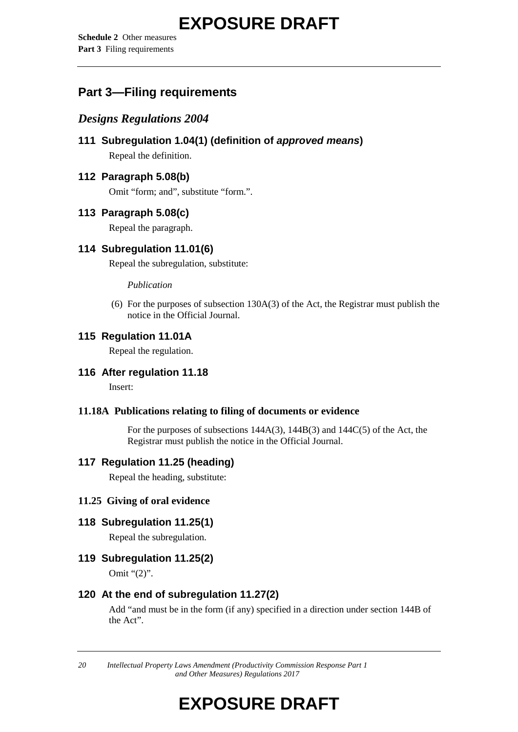**Schedule 2** Other measures **Part 3** Filing requirements

## **Part 3—Filing requirements**

### *Designs Regulations 2004*

**111 Subregulation 1.04(1) (definition of** *approved means***)** Repeal the definition.

### **112 Paragraph 5.08(b)**

Omit "form; and", substitute "form.".

### **113 Paragraph 5.08(c)**

Repeal the paragraph.

### **114 Subregulation 11.01(6)**

Repeal the subregulation, substitute:

#### *Publication*

(6) For the purposes of subsection 130A(3) of the Act, the Registrar must publish the notice in the Official Journal.

### **115 Regulation 11.01A**

Repeal the regulation.

### **116 After regulation 11.18**

Insert:

#### **11.18A Publications relating to filing of documents or evidence**

For the purposes of subsections 144A(3), 144B(3) and 144C(5) of the Act, the Registrar must publish the notice in the Official Journal.

### **117 Regulation 11.25 (heading)**

Repeal the heading, substitute:

#### **11.25 Giving of oral evidence**

### **118 Subregulation 11.25(1)**

Repeal the subregulation.

### **119 Subregulation 11.25(2)**

Omit "(2)".

### **120 At the end of subregulation 11.27(2)**

Add "and must be in the form (if any) specified in a direction under section 144B of the Act".

*20 Intellectual Property Laws Amendment (Productivity Commission Response Part 1 and Other Measures) Regulations 2017*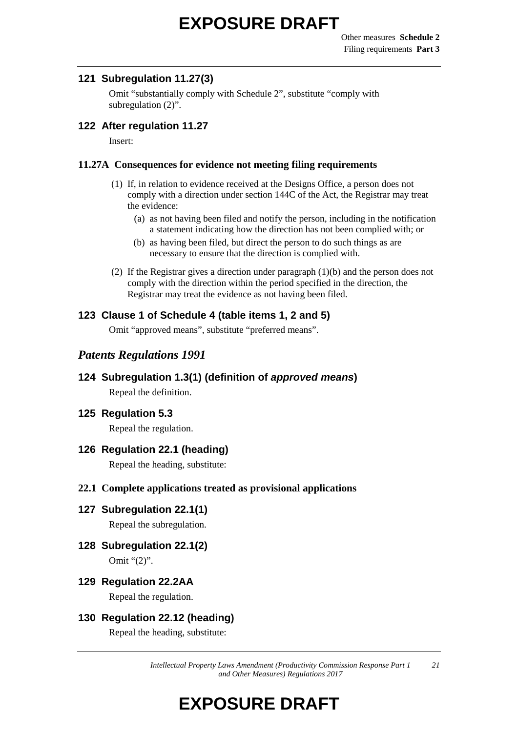#### **121 Subregulation 11.27(3)**

Omit "substantially comply with Schedule 2", substitute "comply with subregulation  $(2)$ ".

### **122 After regulation 11.27**

Insert:

#### **11.27A Consequences for evidence not meeting filing requirements**

- (1) If, in relation to evidence received at the Designs Office, a person does not comply with a direction under section 144C of the Act, the Registrar may treat the evidence:
	- (a) as not having been filed and notify the person, including in the notification a statement indicating how the direction has not been complied with; or
	- (b) as having been filed, but direct the person to do such things as are necessary to ensure that the direction is complied with.
- (2) If the Registrar gives a direction under paragraph (1)(b) and the person does not comply with the direction within the period specified in the direction, the Registrar may treat the evidence as not having been filed.

#### **123 Clause 1 of Schedule 4 (table items 1, 2 and 5)**

Omit "approved means", substitute "preferred means".

### *Patents Regulations 1991*

**124 Subregulation 1.3(1) (definition of** *approved means***)** Repeal the definition.

#### **125 Regulation 5.3**

Repeal the regulation.

### **126 Regulation 22.1 (heading)**

Repeal the heading, substitute:

#### **22.1 Complete applications treated as provisional applications**

- **127 Subregulation 22.1(1)** Repeal the subregulation.
	-
- **128 Subregulation 22.1(2)**

Omit "(2)".

**129 Regulation 22.2AA**

Repeal the regulation.

#### **130 Regulation 22.12 (heading)**

Repeal the heading, substitute: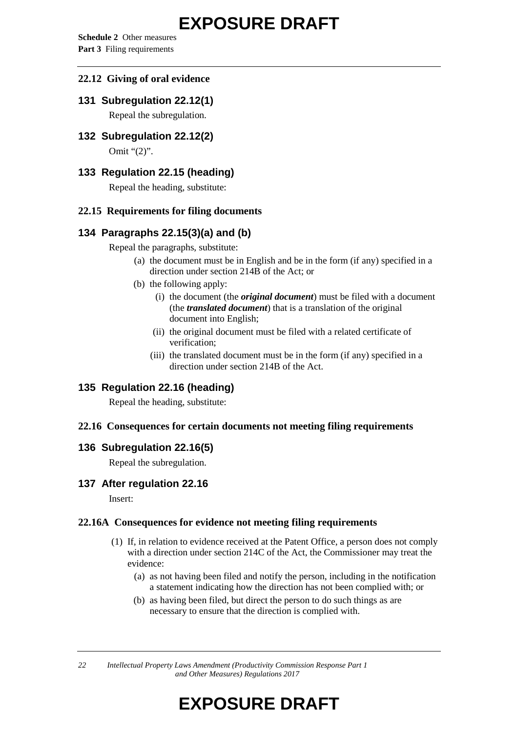**Schedule 2** Other measures **Part 3** Filing requirements

#### **22.12 Giving of oral evidence**

#### **131 Subregulation 22.12(1)**

Repeal the subregulation.

**132 Subregulation 22.12(2)**

Omit "(2)".

#### **133 Regulation 22.15 (heading)**

Repeal the heading, substitute:

#### **22.15 Requirements for filing documents**

### **134 Paragraphs 22.15(3)(a) and (b)**

Repeal the paragraphs, substitute:

- (a) the document must be in English and be in the form (if any) specified in a direction under section 214B of the Act; or
- (b) the following apply:
	- (i) the document (the *original document*) must be filed with a document (the *translated document*) that is a translation of the original document into English;
	- (ii) the original document must be filed with a related certificate of verification;
	- (iii) the translated document must be in the form (if any) specified in a direction under section 214B of the Act.

### **135 Regulation 22.16 (heading)**

Repeal the heading, substitute:

#### **22.16 Consequences for certain documents not meeting filing requirements**

#### **136 Subregulation 22.16(5)**

Repeal the subregulation.

#### **137 After regulation 22.16**

Insert:

#### **22.16A Consequences for evidence not meeting filing requirements**

- (1) If, in relation to evidence received at the Patent Office, a person does not comply with a direction under section 214C of the Act, the Commissioner may treat the evidence:
	- (a) as not having been filed and notify the person, including in the notification a statement indicating how the direction has not been complied with; or
	- (b) as having been filed, but direct the person to do such things as are necessary to ensure that the direction is complied with.

*22 Intellectual Property Laws Amendment (Productivity Commission Response Part 1 and Other Measures) Regulations 2017*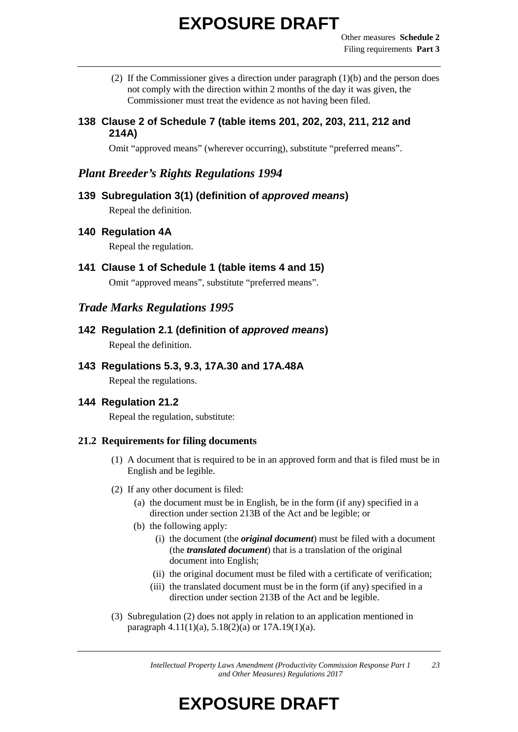- (2) If the Commissioner gives a direction under paragraph (1)(b) and the person does not comply with the direction within 2 months of the day it was given, the Commissioner must treat the evidence as not having been filed.
- **138 Clause 2 of Schedule 7 (table items 201, 202, 203, 211, 212 and 214A)**

Omit "approved means" (wherever occurring), substitute "preferred means".

### *Plant Breeder's Rights Regulations 1994*

**139 Subregulation 3(1) (definition of** *approved means***)** Repeal the definition.

#### **140 Regulation 4A**

Repeal the regulation.

**141 Clause 1 of Schedule 1 (table items 4 and 15)** Omit "approved means", substitute "preferred means".

### *Trade Marks Regulations 1995*

**142 Regulation 2.1 (definition of** *approved means***)** Repeal the definition.

## **143 Regulations 5.3, 9.3, 17A.30 and 17A.48A**

Repeal the regulations.

### **144 Regulation 21.2**

Repeal the regulation, substitute:

#### **21.2 Requirements for filing documents**

- (1) A document that is required to be in an approved form and that is filed must be in English and be legible.
- (2) If any other document is filed:
	- (a) the document must be in English, be in the form (if any) specified in a direction under section 213B of the Act and be legible; or
	- (b) the following apply:
		- (i) the document (the *original document*) must be filed with a document (the *translated document*) that is a translation of the original document into English;
		- (ii) the original document must be filed with a certificate of verification;
		- (iii) the translated document must be in the form (if any) specified in a direction under section 213B of the Act and be legible.
- (3) Subregulation (2) does not apply in relation to an application mentioned in paragraph  $4.11(1)(a)$ ,  $5.18(2)(a)$  or  $17A.19(1)(a)$ .

*Intellectual Property Laws Amendment (Productivity Commission Response Part 1 and Other Measures) Regulations 2017 23*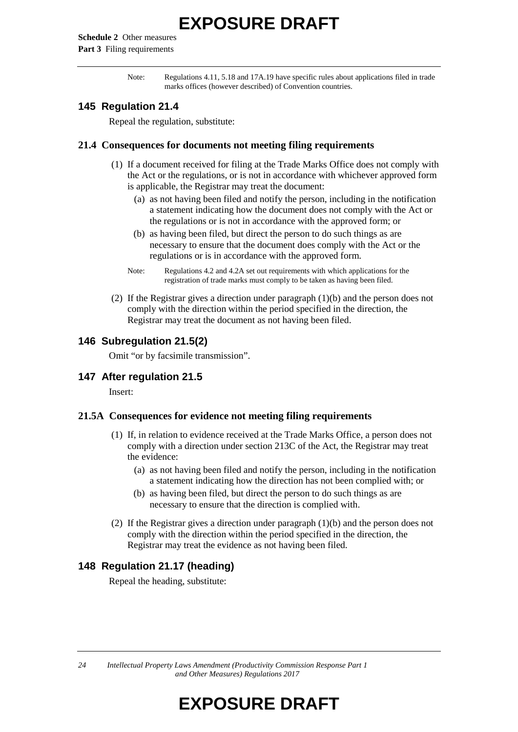**Schedule 2** Other measures **Part 3** Filing requirements

> Note: Regulations 4.11, 5.18 and 17A.19 have specific rules about applications filed in trade marks offices (however described) of Convention countries.

#### **145 Regulation 21.4**

Repeal the regulation, substitute:

#### **21.4 Consequences for documents not meeting filing requirements**

- (1) If a document received for filing at the Trade Marks Office does not comply with the Act or the regulations, or is not in accordance with whichever approved form is applicable, the Registrar may treat the document:
	- (a) as not having been filed and notify the person, including in the notification a statement indicating how the document does not comply with the Act or the regulations or is not in accordance with the approved form; or
	- (b) as having been filed, but direct the person to do such things as are necessary to ensure that the document does comply with the Act or the regulations or is in accordance with the approved form.
	- Note: Regulations 4.2 and 4.2A set out requirements with which applications for the registration of trade marks must comply to be taken as having been filed.
- (2) If the Registrar gives a direction under paragraph (1)(b) and the person does not comply with the direction within the period specified in the direction, the Registrar may treat the document as not having been filed.

#### **146 Subregulation 21.5(2)**

Omit "or by facsimile transmission".

#### **147 After regulation 21.5**

Insert:

#### **21.5A Consequences for evidence not meeting filing requirements**

- (1) If, in relation to evidence received at the Trade Marks Office, a person does not comply with a direction under section 213C of the Act, the Registrar may treat the evidence:
	- (a) as not having been filed and notify the person, including in the notification a statement indicating how the direction has not been complied with; or
	- (b) as having been filed, but direct the person to do such things as are necessary to ensure that the direction is complied with.
- (2) If the Registrar gives a direction under paragraph (1)(b) and the person does not comply with the direction within the period specified in the direction, the Registrar may treat the evidence as not having been filed.

#### **148 Regulation 21.17 (heading)**

Repeal the heading, substitute:

*24 Intellectual Property Laws Amendment (Productivity Commission Response Part 1 and Other Measures) Regulations 2017*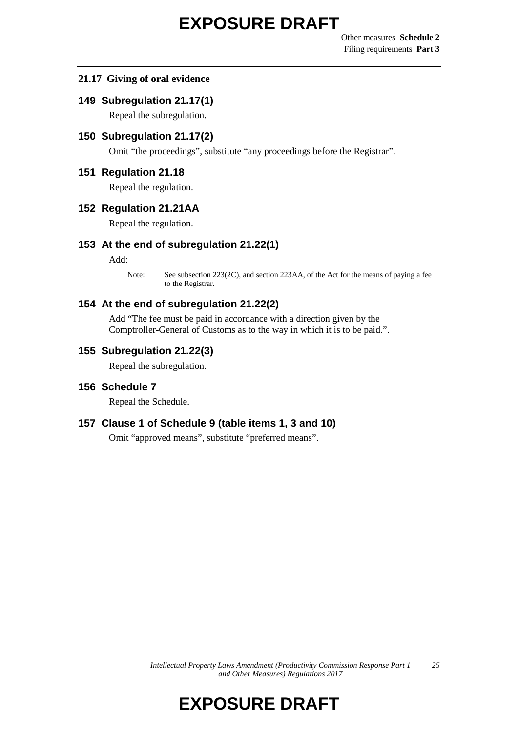#### **21.17 Giving of oral evidence**

#### **149 Subregulation 21.17(1)**

Repeal the subregulation.

#### **150 Subregulation 21.17(2)**

Omit "the proceedings", substitute "any proceedings before the Registrar".

#### **151 Regulation 21.18**

Repeal the regulation.

#### **152 Regulation 21.21AA**

Repeal the regulation.

#### **153 At the end of subregulation 21.22(1)**

Add:

Note: See subsection 223(2C), and section 223AA, of the Act for the means of paying a fee to the Registrar.

#### **154 At the end of subregulation 21.22(2)**

Add "The fee must be paid in accordance with a direction given by the Comptroller-General of Customs as to the way in which it is to be paid.".

#### **155 Subregulation 21.22(3)**

Repeal the subregulation.

#### **156 Schedule 7**

Repeal the Schedule.

#### **157 Clause 1 of Schedule 9 (table items 1, 3 and 10)**

Omit "approved means", substitute "preferred means".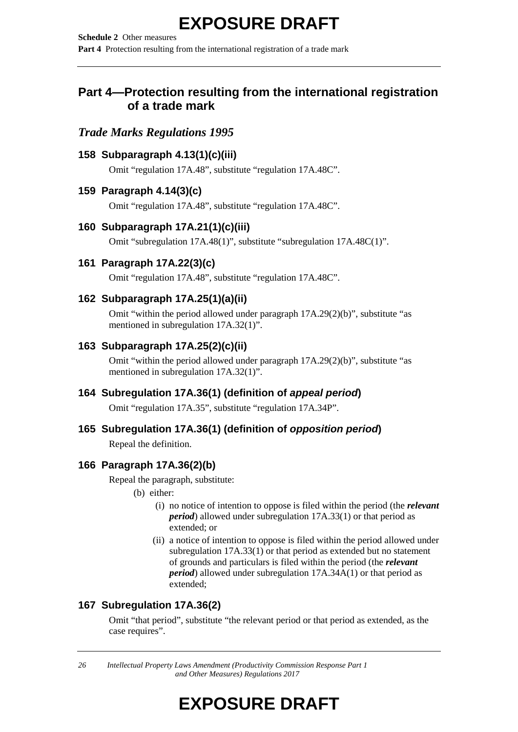**Schedule 2** Other measures **Part 4** Protection resulting from the international registration of a trade mark

### **Part 4—Protection resulting from the international registration of a trade mark**

### *Trade Marks Regulations 1995*

#### **158 Subparagraph 4.13(1)(c)(iii)**

Omit "regulation 17A.48", substitute "regulation 17A.48C".

#### **159 Paragraph 4.14(3)(c)**

Omit "regulation 17A.48", substitute "regulation 17A.48C".

#### **160 Subparagraph 17A.21(1)(c)(iii)**

Omit "subregulation 17A.48(1)", substitute "subregulation 17A.48C(1)".

### **161 Paragraph 17A.22(3)(c)**

Omit "regulation 17A.48", substitute "regulation 17A.48C".

#### **162 Subparagraph 17A.25(1)(a)(ii)**

Omit "within the period allowed under paragraph 17A.29(2)(b)", substitute "as mentioned in subregulation 17A.32(1)".

#### **163 Subparagraph 17A.25(2)(c)(ii)**

Omit "within the period allowed under paragraph 17A.29(2)(b)", substitute "as mentioned in subregulation 17A.32(1)".

### **164 Subregulation 17A.36(1) (definition of** *appeal period***)**

Omit "regulation 17A.35", substitute "regulation 17A.34P".

#### **165 Subregulation 17A.36(1) (definition of** *opposition period***)**

Repeal the definition.

#### **166 Paragraph 17A.36(2)(b)**

Repeal the paragraph, substitute:

- (b) either:
	- (i) no notice of intention to oppose is filed within the period (the *relevant period*) allowed under subregulation 17A.33(1) or that period as extended; or
	- (ii) a notice of intention to oppose is filed within the period allowed under subregulation 17A.33(1) or that period as extended but no statement of grounds and particulars is filed within the period (the *relevant period*) allowed under subregulation 17A.34A(1) or that period as extended;

### **167 Subregulation 17A.36(2)**

Omit "that period", substitute "the relevant period or that period as extended, as the case requires".

*26 Intellectual Property Laws Amendment (Productivity Commission Response Part 1 and Other Measures) Regulations 2017*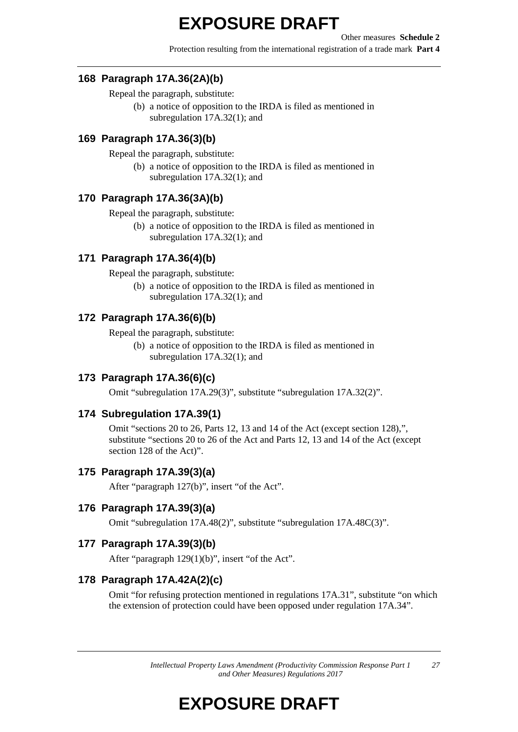Protection resulting from the international registration of a trade mark **Part 4**

#### **168 Paragraph 17A.36(2A)(b)**

Repeal the paragraph, substitute:

(b) a notice of opposition to the IRDA is filed as mentioned in subregulation 17A.32(1); and

#### **169 Paragraph 17A.36(3)(b)**

Repeal the paragraph, substitute:

(b) a notice of opposition to the IRDA is filed as mentioned in subregulation 17A.32(1); and

#### **170 Paragraph 17A.36(3A)(b)**

Repeal the paragraph, substitute:

(b) a notice of opposition to the IRDA is filed as mentioned in subregulation 17A.32(1); and

#### **171 Paragraph 17A.36(4)(b)**

Repeal the paragraph, substitute:

(b) a notice of opposition to the IRDA is filed as mentioned in subregulation 17A.32(1); and

#### **172 Paragraph 17A.36(6)(b)**

Repeal the paragraph, substitute:

(b) a notice of opposition to the IRDA is filed as mentioned in subregulation 17A.32(1); and

#### **173 Paragraph 17A.36(6)(c)**

Omit "subregulation 17A.29(3)", substitute "subregulation 17A.32(2)".

#### **174 Subregulation 17A.39(1)**

Omit "sections 20 to 26, Parts 12, 13 and 14 of the Act (except section 128),", substitute "sections 20 to 26 of the Act and Parts 12, 13 and 14 of the Act (except section 128 of the Act)".

#### **175 Paragraph 17A.39(3)(a)**

After "paragraph 127(b)", insert "of the Act".

#### **176 Paragraph 17A.39(3)(a)**

Omit "subregulation 17A.48(2)", substitute "subregulation 17A.48C(3)".

#### **177 Paragraph 17A.39(3)(b)**

After "paragraph 129(1)(b)", insert "of the Act".

#### **178 Paragraph 17A.42A(2)(c)**

Omit "for refusing protection mentioned in regulations 17A.31", substitute "on which the extension of protection could have been opposed under regulation 17A.34".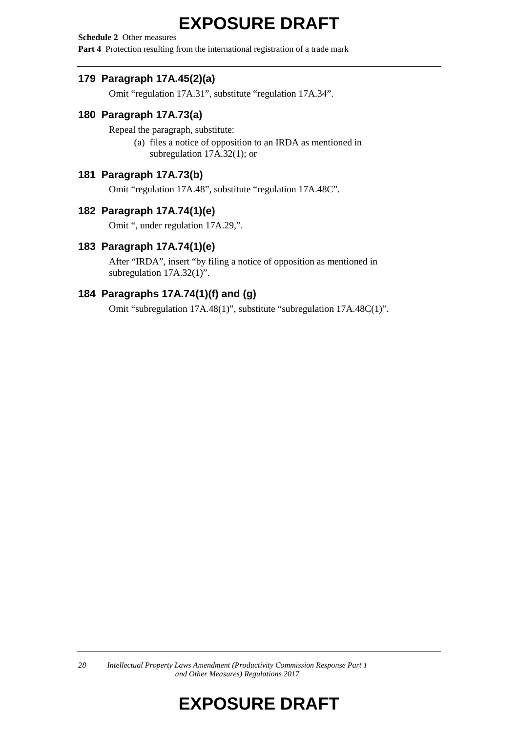**Schedule 2** Other measures

**Part 4** Protection resulting from the international registration of a trade mark

### **179 Paragraph 17A.45(2)(a)**

Omit "regulation 17A.31", substitute "regulation 17A.34".

### **180 Paragraph 17A.73(a)**

Repeal the paragraph, substitute:

(a) files a notice of opposition to an IRDA as mentioned in subregulation 17A.32(1); or

#### **181 Paragraph 17A.73(b)**

Omit "regulation 17A.48", substitute "regulation 17A.48C".

#### **182 Paragraph 17A.74(1)(e)**

Omit ", under regulation 17A.29,".

#### **183 Paragraph 17A.74(1)(e)**

After "IRDA", insert "by filing a notice of opposition as mentioned in subregulation 17A.32(1)".

### **184 Paragraphs 17A.74(1)(f) and (g)**

Omit "subregulation 17A.48(1)", substitute "subregulation 17A.48C(1)".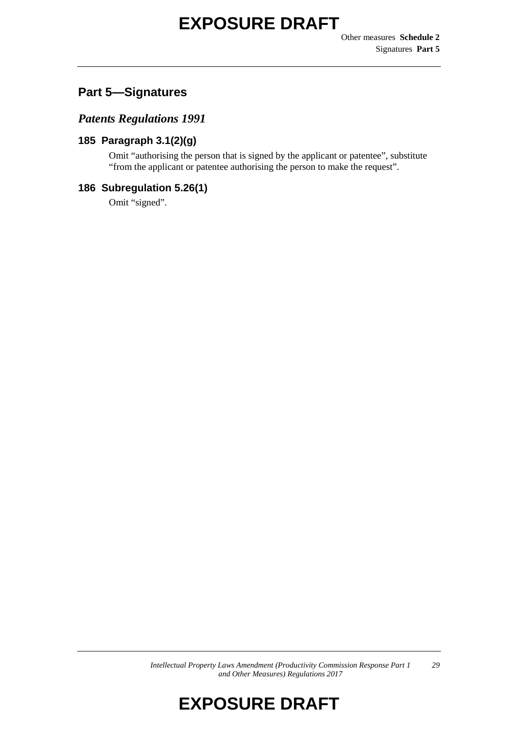## **Part 5—Signatures**

### *Patents Regulations 1991*

### **185 Paragraph 3.1(2)(g)**

Omit "authorising the person that is signed by the applicant or patentee", substitute "from the applicant or patentee authorising the person to make the request".

#### **186 Subregulation 5.26(1)**

Omit "signed".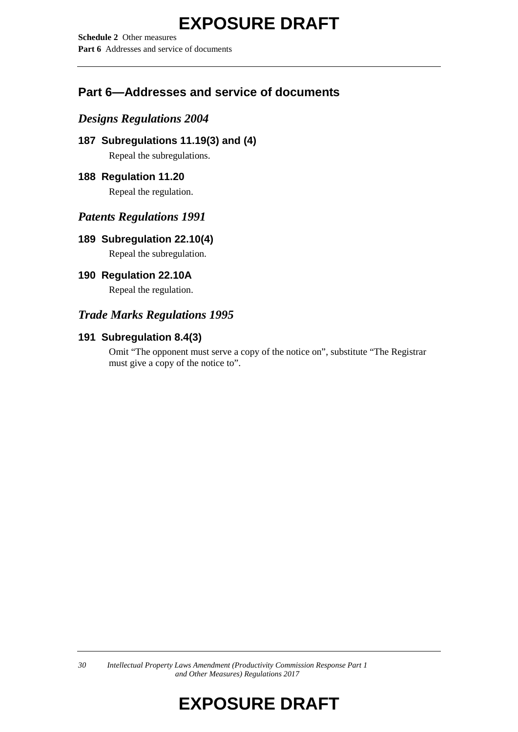**Schedule 2** Other measures **Part 6** Addresses and service of documents

## **Part 6—Addresses and service of documents**

### *Designs Regulations 2004*

```
187 Subregulations 11.19(3) and (4)
Repeal the subregulations.
```
### **188 Regulation 11.20**

Repeal the regulation.

### *Patents Regulations 1991*

### **189 Subregulation 22.10(4)**

Repeal the subregulation.

### **190 Regulation 22.10A**

Repeal the regulation.

### *Trade Marks Regulations 1995*

### **191 Subregulation 8.4(3)**

Omit "The opponent must serve a copy of the notice on", substitute "The Registrar must give a copy of the notice to".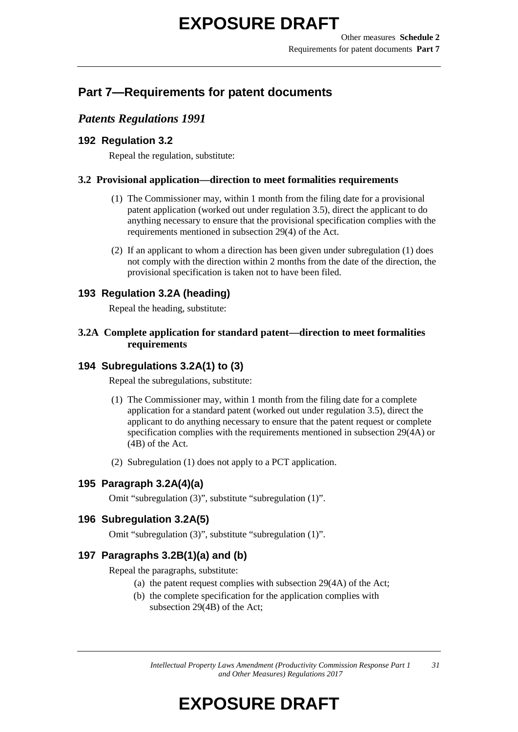## **Part 7—Requirements for patent documents**

### *Patents Regulations 1991*

### **192 Regulation 3.2**

Repeal the regulation, substitute:

#### **3.2 Provisional application—direction to meet formalities requirements**

- (1) The Commissioner may, within 1 month from the filing date for a provisional patent application (worked out under regulation 3.5), direct the applicant to do anything necessary to ensure that the provisional specification complies with the requirements mentioned in subsection 29(4) of the Act.
- (2) If an applicant to whom a direction has been given under subregulation (1) does not comply with the direction within 2 months from the date of the direction, the provisional specification is taken not to have been filed.

### **193 Regulation 3.2A (heading)**

Repeal the heading, substitute:

### **3.2A Complete application for standard patent—direction to meet formalities requirements**

### **194 Subregulations 3.2A(1) to (3)**

Repeal the subregulations, substitute:

- (1) The Commissioner may, within 1 month from the filing date for a complete application for a standard patent (worked out under regulation 3.5), direct the applicant to do anything necessary to ensure that the patent request or complete specification complies with the requirements mentioned in subsection 29(4A) or (4B) of the Act.
- (2) Subregulation (1) does not apply to a PCT application.

### **195 Paragraph 3.2A(4)(a)**

Omit "subregulation (3)", substitute "subregulation (1)".

### **196 Subregulation 3.2A(5)**

Omit "subregulation (3)", substitute "subregulation (1)".

### **197 Paragraphs 3.2B(1)(a) and (b)**

Repeal the paragraphs, substitute:

- (a) the patent request complies with subsection 29(4A) of the Act;
- (b) the complete specification for the application complies with subsection 29(4B) of the Act;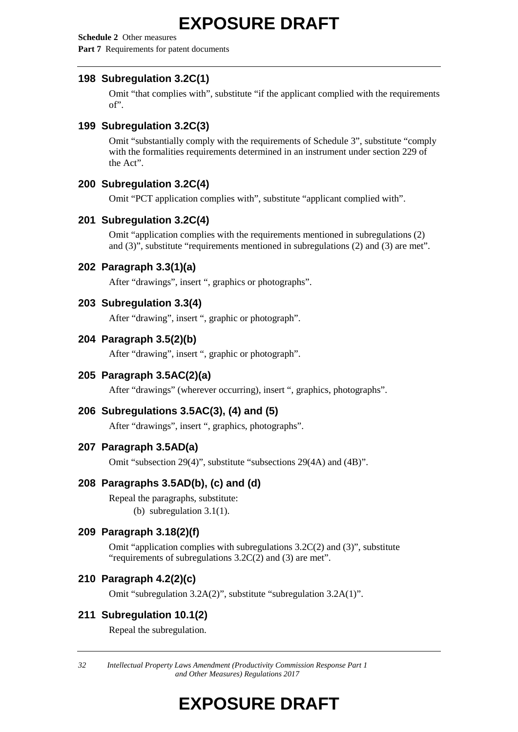**Schedule 2** Other measures **Part 7** Requirements for patent documents

#### **198 Subregulation 3.2C(1)**

Omit "that complies with", substitute "if the applicant complied with the requirements of".

#### **199 Subregulation 3.2C(3)**

Omit "substantially comply with the requirements of Schedule 3", substitute "comply with the formalities requirements determined in an instrument under section 229 of the Act".

#### **200 Subregulation 3.2C(4)**

Omit "PCT application complies with", substitute "applicant complied with".

#### **201 Subregulation 3.2C(4)**

Omit "application complies with the requirements mentioned in subregulations (2) and (3)", substitute "requirements mentioned in subregulations (2) and (3) are met".

#### **202 Paragraph 3.3(1)(a)**

After "drawings", insert ", graphics or photographs".

#### **203 Subregulation 3.3(4)**

After "drawing", insert ", graphic or photograph".

#### **204 Paragraph 3.5(2)(b)**

After "drawing", insert ", graphic or photograph".

### **205 Paragraph 3.5AC(2)(a)**

After "drawings" (wherever occurring), insert ", graphics, photographs".

#### **206 Subregulations 3.5AC(3), (4) and (5)**

After "drawings", insert ", graphics, photographs".

#### **207 Paragraph 3.5AD(a)**

Omit "subsection 29(4)", substitute "subsections 29(4A) and (4B)".

### **208 Paragraphs 3.5AD(b), (c) and (d)**

Repeal the paragraphs, substitute: (b) subregulation 3.1(1).

#### **209 Paragraph 3.18(2)(f)**

Omit "application complies with subregulations 3.2C(2) and (3)", substitute "requirements of subregulations 3.2C(2) and (3) are met".

#### **210 Paragraph 4.2(2)(c)**

Omit "subregulation 3.2A(2)", substitute "subregulation 3.2A(1)".

### **211 Subregulation 10.1(2)**

Repeal the subregulation.

*32 Intellectual Property Laws Amendment (Productivity Commission Response Part 1 and Other Measures) Regulations 2017*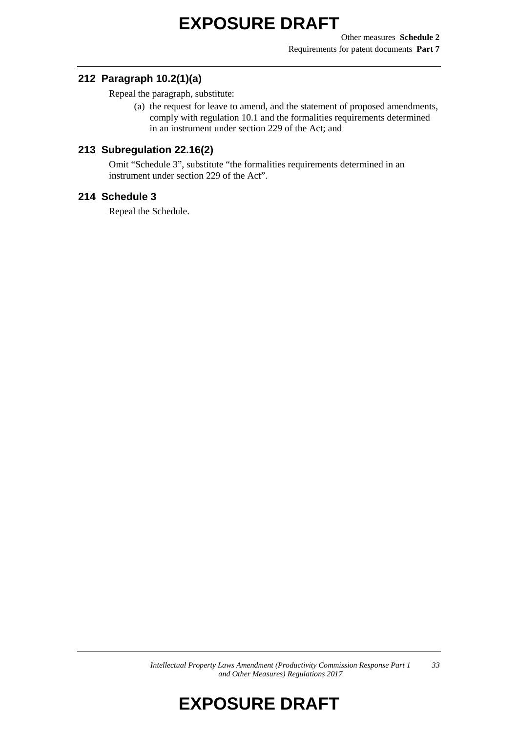Other measures **Schedule 2** Requirements for patent documents **Part 7**

#### **212 Paragraph 10.2(1)(a)**

Repeal the paragraph, substitute:

(a) the request for leave to amend, and the statement of proposed amendments, comply with regulation 10.1 and the formalities requirements determined in an instrument under section 229 of the Act; and

#### **213 Subregulation 22.16(2)**

Omit "Schedule 3", substitute "the formalities requirements determined in an instrument under section 229 of the Act".

#### **214 Schedule 3**

Repeal the Schedule.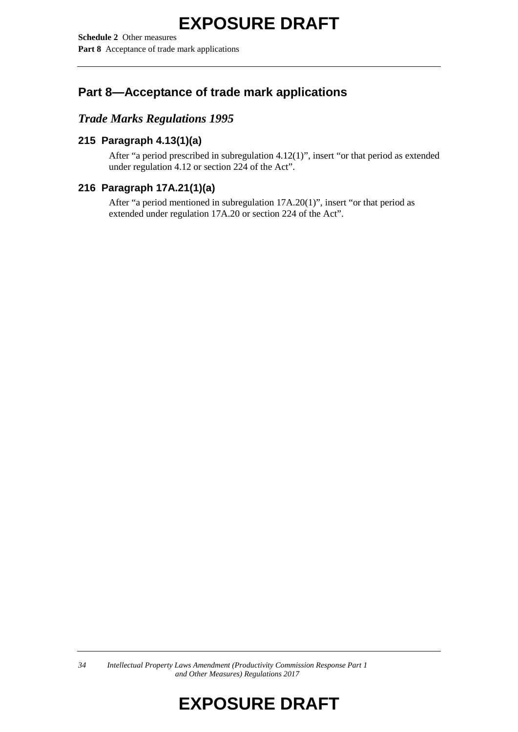**Schedule 2** Other measures **Part 8** Acceptance of trade mark applications

## **Part 8—Acceptance of trade mark applications**

### *Trade Marks Regulations 1995*

### **215 Paragraph 4.13(1)(a)**

After "a period prescribed in subregulation 4.12(1)", insert "or that period as extended under regulation 4.12 or section 224 of the Act".

### **216 Paragraph 17A.21(1)(a)**

After "a period mentioned in subregulation 17A.20(1)", insert "or that period as extended under regulation 17A.20 or section 224 of the Act".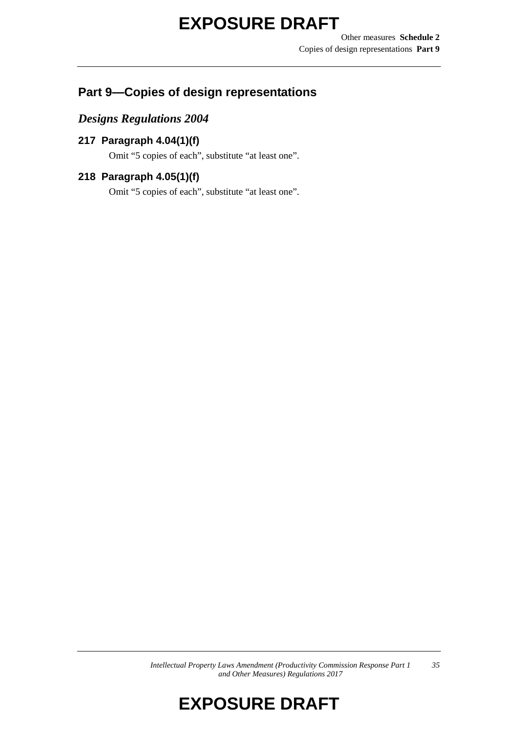## **Part 9—Copies of design representations**

### *Designs Regulations 2004*

### **217 Paragraph 4.04(1)(f)**

Omit "5 copies of each", substitute "at least one".

### **218 Paragraph 4.05(1)(f)**

Omit "5 copies of each", substitute "at least one".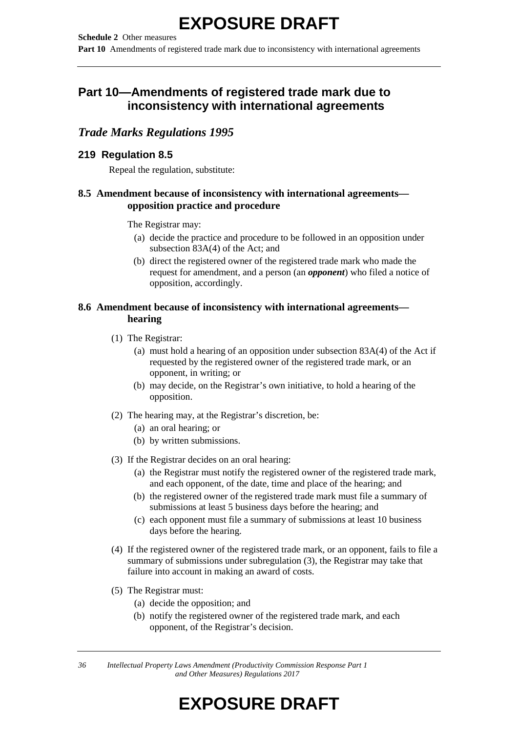**Schedule 2** Other measures

**Part 10** Amendments of registered trade mark due to inconsistency with international agreements

## **Part 10—Amendments of registered trade mark due to inconsistency with international agreements**

### *Trade Marks Regulations 1995*

### **219 Regulation 8.5**

Repeal the regulation, substitute:

### **8.5 Amendment because of inconsistency with international agreements opposition practice and procedure**

The Registrar may:

- (a) decide the practice and procedure to be followed in an opposition under subsection 83A(4) of the Act; and
- (b) direct the registered owner of the registered trade mark who made the request for amendment, and a person (an *opponent*) who filed a notice of opposition, accordingly.

#### **8.6 Amendment because of inconsistency with international agreements hearing**

- (1) The Registrar:
	- (a) must hold a hearing of an opposition under subsection 83A(4) of the Act if requested by the registered owner of the registered trade mark, or an opponent, in writing; or
	- (b) may decide, on the Registrar's own initiative, to hold a hearing of the opposition.
- (2) The hearing may, at the Registrar's discretion, be:
	- (a) an oral hearing; or
	- (b) by written submissions.
- (3) If the Registrar decides on an oral hearing:
	- (a) the Registrar must notify the registered owner of the registered trade mark, and each opponent, of the date, time and place of the hearing; and
	- (b) the registered owner of the registered trade mark must file a summary of submissions at least 5 business days before the hearing; and
	- (c) each opponent must file a summary of submissions at least 10 business days before the hearing.
- (4) If the registered owner of the registered trade mark, or an opponent, fails to file a summary of submissions under subregulation (3), the Registrar may take that failure into account in making an award of costs.
- (5) The Registrar must:
	- (a) decide the opposition; and
	- (b) notify the registered owner of the registered trade mark, and each opponent, of the Registrar's decision.

*36 Intellectual Property Laws Amendment (Productivity Commission Response Part 1 and Other Measures) Regulations 2017*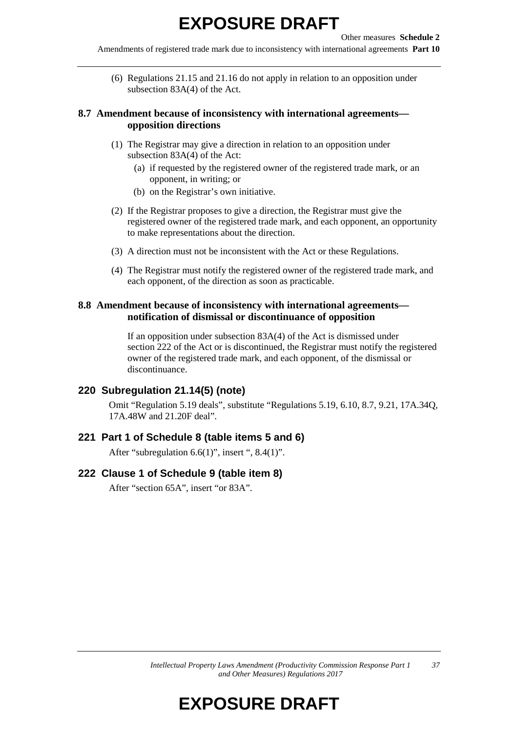Amendments of registered trade mark due to inconsistency with international agreements **Part 10**

(6) Regulations 21.15 and 21.16 do not apply in relation to an opposition under subsection 83A(4) of the Act.

#### **8.7 Amendment because of inconsistency with international agreements opposition directions**

- (1) The Registrar may give a direction in relation to an opposition under subsection 83A(4) of the Act:
	- (a) if requested by the registered owner of the registered trade mark, or an opponent, in writing; or
	- (b) on the Registrar's own initiative.
- (2) If the Registrar proposes to give a direction, the Registrar must give the registered owner of the registered trade mark, and each opponent, an opportunity to make representations about the direction.
- (3) A direction must not be inconsistent with the Act or these Regulations.
- (4) The Registrar must notify the registered owner of the registered trade mark, and each opponent, of the direction as soon as practicable.

#### **8.8 Amendment because of inconsistency with international agreements notification of dismissal or discontinuance of opposition**

If an opposition under subsection 83A(4) of the Act is dismissed under section 222 of the Act or is discontinued, the Registrar must notify the registered owner of the registered trade mark, and each opponent, of the dismissal or discontinuance.

#### **220 Subregulation 21.14(5) (note)**

Omit "Regulation 5.19 deals", substitute "Regulations 5.19, 6.10, 8.7, 9.21, 17A.34Q, 17A.48W and 21.20F deal".

#### **221 Part 1 of Schedule 8 (table items 5 and 6)**

After "subregulation 6.6(1)", insert ", 8.4(1)".

#### **222 Clause 1 of Schedule 9 (table item 8)**

After "section 65A", insert "or 83A".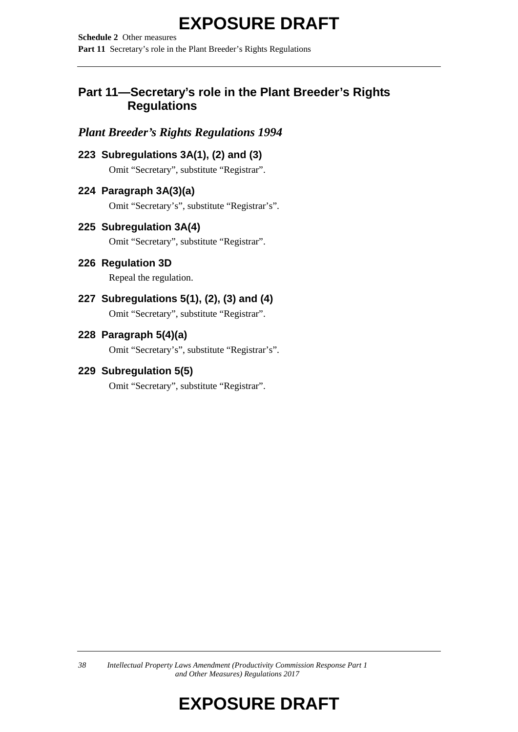**Schedule 2** Other measures Part 11 Secretary's role in the Plant Breeder's Rights Regulations

### **Part 11—Secretary's role in the Plant Breeder's Rights Regulations**

## *Plant Breeder's Rights Regulations 1994*

**223 Subregulations 3A(1), (2) and (3)**

Omit "Secretary", substitute "Registrar".

### **224 Paragraph 3A(3)(a)**

Omit "Secretary's", substitute "Registrar's".

### **225 Subregulation 3A(4)**

Omit "Secretary", substitute "Registrar".

### **226 Regulation 3D**

Repeal the regulation.

### **227 Subregulations 5(1), (2), (3) and (4)**

Omit "Secretary", substitute "Registrar".

### **228 Paragraph 5(4)(a)**

Omit "Secretary's", substitute "Registrar's".

### **229 Subregulation 5(5)**

Omit "Secretary", substitute "Registrar".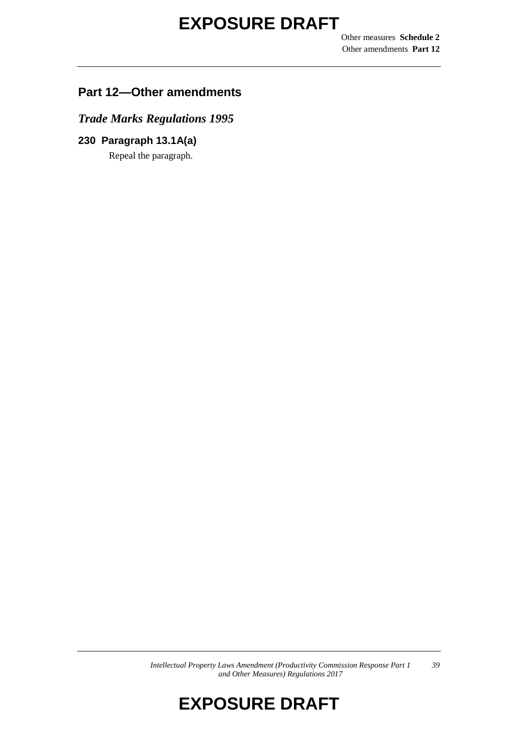Other measures **Schedule 2** Other amendments **Part 12**

### **Part 12—Other amendments**

*Trade Marks Regulations 1995*

**230 Paragraph 13.1A(a)** Repeal the paragraph.

> *Intellectual Property Laws Amendment (Productivity Commission Response Part 1 and Other Measures) Regulations 2017 39*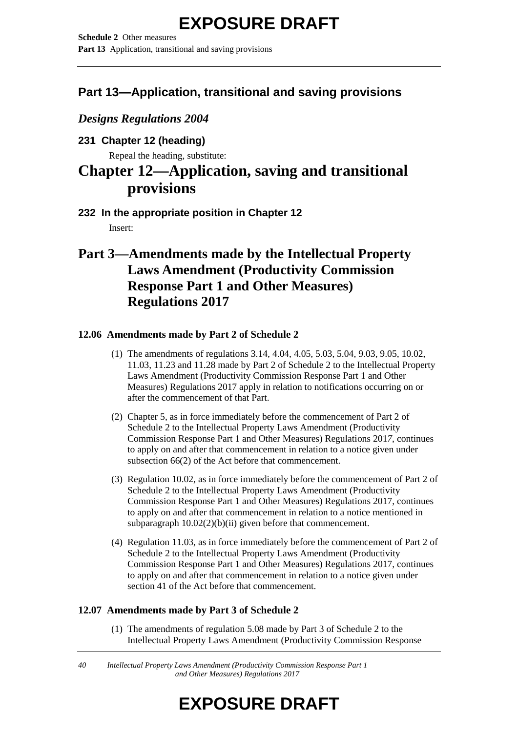**Schedule 2** Other measures **Part 13** Application, transitional and saving provisions

### **Part 13—Application, transitional and saving provisions**

*Designs Regulations 2004*

**231 Chapter 12 (heading)**

Repeal the heading, substitute:

## **Chapter 12—Application, saving and transitional provisions**

**232 In the appropriate position in Chapter 12** Insert:

## **Part 3—Amendments made by the Intellectual Property Laws Amendment (Productivity Commission Response Part 1 and Other Measures) Regulations 2017**

### **12.06 Amendments made by Part 2 of Schedule 2**

- (1) The amendments of regulations 3.14, 4.04, 4.05, 5.03, 5.04, 9.03, 9.05, 10.02, 11.03, 11.23 and 11.28 made by Part 2 of Schedule 2 to the Intellectual Property Laws Amendment (Productivity Commission Response Part 1 and Other Measures) Regulations 2017 apply in relation to notifications occurring on or after the commencement of that Part.
- (2) Chapter 5, as in force immediately before the commencement of Part 2 of Schedule 2 to the Intellectual Property Laws Amendment (Productivity Commission Response Part 1 and Other Measures) Regulations 201*7*, continues to apply on and after that commencement in relation to a notice given under subsection 66(2) of the Act before that commencement.
- (3) Regulation 10.02, as in force immediately before the commencement of Part 2 of Schedule 2 to the Intellectual Property Laws Amendment (Productivity Commission Response Part 1 and Other Measures) Regulations 2017, continues to apply on and after that commencement in relation to a notice mentioned in subparagraph  $10.02(2)(b)(ii)$  given before that commencement.
- (4) Regulation 11.03, as in force immediately before the commencement of Part 2 of Schedule 2 to the Intellectual Property Laws Amendment (Productivity Commission Response Part 1 and Other Measures) Regulations 2017, continues to apply on and after that commencement in relation to a notice given under section 41 of the Act before that commencement.

### **12.07 Amendments made by Part 3 of Schedule 2**

(1) The amendments of regulation 5.08 made by Part 3 of Schedule 2 to the Intellectual Property Laws Amendment (Productivity Commission Response

*40 Intellectual Property Laws Amendment (Productivity Commission Response Part 1 and Other Measures) Regulations 2017*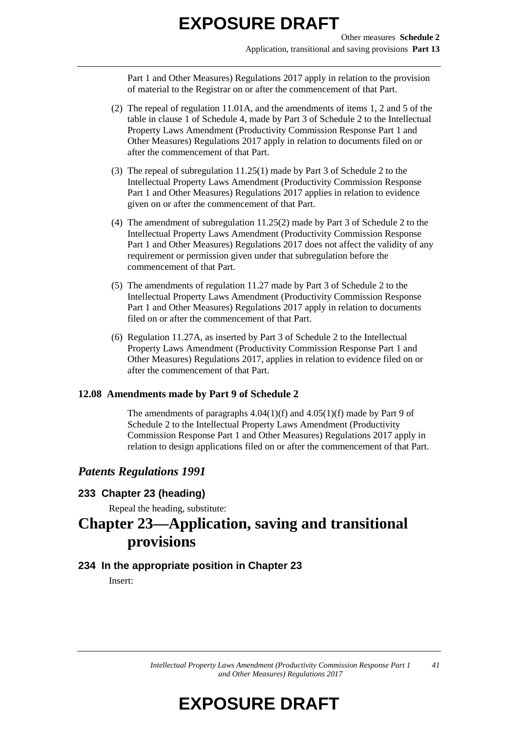Part 1 and Other Measures) Regulations 2017 apply in relation to the provision of material to the Registrar on or after the commencement of that Part.

- (2) The repeal of regulation 11.01A, and the amendments of items 1, 2 and 5 of the table in clause 1 of Schedule 4, made by Part 3 of Schedule 2 to the Intellectual Property Laws Amendment (Productivity Commission Response Part 1 and Other Measures) Regulations 2017 apply in relation to documents filed on or after the commencement of that Part.
- (3) The repeal of subregulation 11.25(1) made by Part 3 of Schedule 2 to the Intellectual Property Laws Amendment (Productivity Commission Response Part 1 and Other Measures) Regulations 2017 applies in relation to evidence given on or after the commencement of that Part.
- (4) The amendment of subregulation 11.25(2) made by Part 3 of Schedule 2 to the Intellectual Property Laws Amendment (Productivity Commission Response Part 1 and Other Measures) Regulations 2017 does not affect the validity of any requirement or permission given under that subregulation before the commencement of that Part.
- (5) The amendments of regulation 11.27 made by Part 3 of Schedule 2 to the Intellectual Property Laws Amendment (Productivity Commission Response Part 1 and Other Measures) Regulations 2017 apply in relation to documents filed on or after the commencement of that Part.
- (6) Regulation 11.27A, as inserted by Part 3 of Schedule 2 to the Intellectual Property Laws Amendment (Productivity Commission Response Part 1 and Other Measures) Regulations 2017, applies in relation to evidence filed on or after the commencement of that Part.

#### **12.08 Amendments made by Part 9 of Schedule 2**

The amendments of paragraphs  $4.04(1)(f)$  and  $4.05(1)(f)$  made by Part 9 of Schedule 2 to the Intellectual Property Laws Amendment (Productivity Commission Response Part 1 and Other Measures) Regulations 2017 apply in relation to design applications filed on or after the commencement of that Part.

### *Patents Regulations 1991*

### **233 Chapter 23 (heading)**

Repeal the heading, substitute:

## **Chapter 23—Application, saving and transitional provisions**

### **234 In the appropriate position in Chapter 23**

Insert: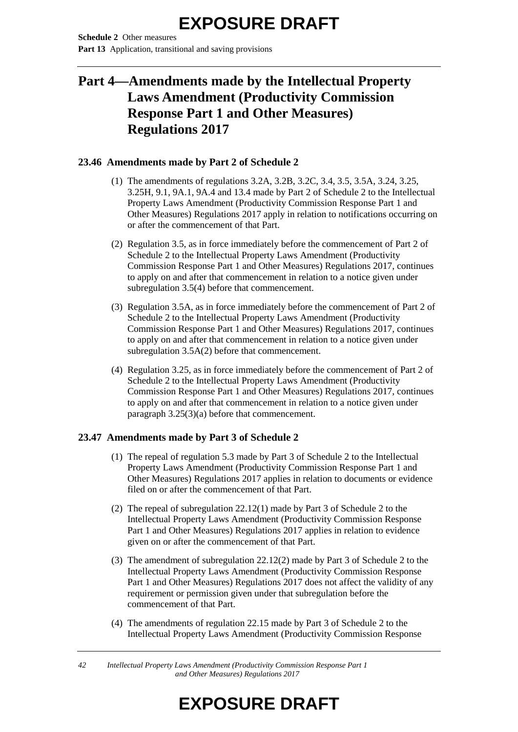**Schedule 2** Other measures **Part 13** Application, transitional and saving provisions

## **Part 4—Amendments made by the Intellectual Property Laws Amendment (Productivity Commission Response Part 1 and Other Measures) Regulations 2017**

#### **23.46 Amendments made by Part 2 of Schedule 2**

- (1) The amendments of regulations 3.2A, 3.2B, 3.2C, 3.4, 3.5, 3.5A, 3.24, 3.25, 3.25H, 9.1, 9A.1, 9A.4 and 13.4 made by Part 2 of Schedule 2 to the Intellectual Property Laws Amendment (Productivity Commission Response Part 1 and Other Measures) Regulations 2017 apply in relation to notifications occurring on or after the commencement of that Part.
- (2) Regulation 3.5, as in force immediately before the commencement of Part 2 of Schedule 2 to the Intellectual Property Laws Amendment (Productivity Commission Response Part 1 and Other Measures) Regulations 2017, continues to apply on and after that commencement in relation to a notice given under subregulation 3.5(4) before that commencement.
- (3) Regulation 3.5A, as in force immediately before the commencement of Part 2 of Schedule 2 to the Intellectual Property Laws Amendment (Productivity Commission Response Part 1 and Other Measures) Regulations 2017, continues to apply on and after that commencement in relation to a notice given under subregulation 3.5A(2) before that commencement.
- (4) Regulation 3.25, as in force immediately before the commencement of Part 2 of Schedule 2 to the Intellectual Property Laws Amendment (Productivity Commission Response Part 1 and Other Measures) Regulations 2017, continues to apply on and after that commencement in relation to a notice given under paragraph 3.25(3)(a) before that commencement.

#### **23.47 Amendments made by Part 3 of Schedule 2**

- (1) The repeal of regulation 5.3 made by Part 3 of Schedule 2 to the Intellectual Property Laws Amendment (Productivity Commission Response Part 1 and Other Measures) Regulations 2017 applies in relation to documents or evidence filed on or after the commencement of that Part.
- (2) The repeal of subregulation 22.12(1) made by Part 3 of Schedule 2 to the Intellectual Property Laws Amendment (Productivity Commission Response Part 1 and Other Measures) Regulations 2017 applies in relation to evidence given on or after the commencement of that Part.
- (3) The amendment of subregulation 22.12(2) made by Part 3 of Schedule 2 to the Intellectual Property Laws Amendment (Productivity Commission Response Part 1 and Other Measures) Regulations 2017 does not affect the validity of any requirement or permission given under that subregulation before the commencement of that Part.
- (4) The amendments of regulation 22.15 made by Part 3 of Schedule 2 to the Intellectual Property Laws Amendment (Productivity Commission Response

*42 Intellectual Property Laws Amendment (Productivity Commission Response Part 1 and Other Measures) Regulations 2017*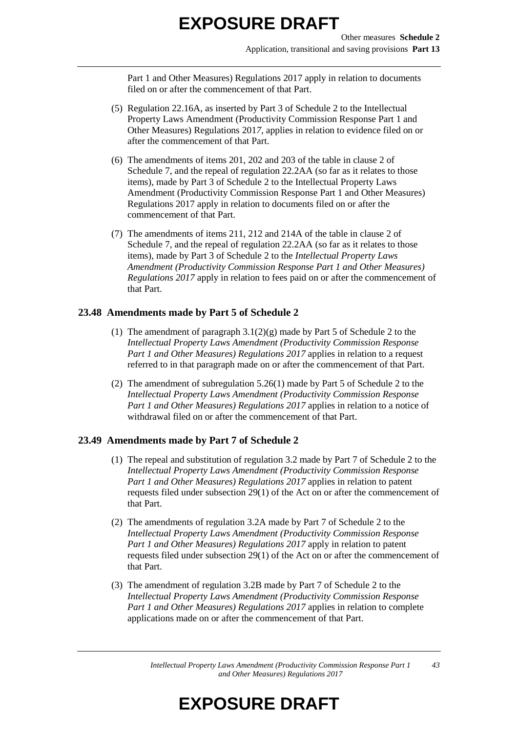Part 1 and Other Measures) Regulations 2017 apply in relation to documents filed on or after the commencement of that Part.

- (5) Regulation 22.16A, as inserted by Part 3 of Schedule 2 to the Intellectual Property Laws Amendment (Productivity Commission Response Part 1 and Other Measures) Regulations 201*7*, applies in relation to evidence filed on or after the commencement of that Part.
- (6) The amendments of items 201, 202 and 203 of the table in clause 2 of Schedule 7, and the repeal of regulation 22.2AA (so far as it relates to those items), made by Part 3 of Schedule 2 to the Intellectual Property Laws Amendment (Productivity Commission Response Part 1 and Other Measures) Regulations 2017 apply in relation to documents filed on or after the commencement of that Part.
- (7) The amendments of items 211, 212 and 214A of the table in clause 2 of Schedule 7, and the repeal of regulation 22.2AA (so far as it relates to those items), made by Part 3 of Schedule 2 to the *Intellectual Property Laws Amendment (Productivity Commission Response Part 1 and Other Measures) Regulations 2017* apply in relation to fees paid on or after the commencement of that Part.

### **23.48 Amendments made by Part 5 of Schedule 2**

- (1) The amendment of paragraph  $3.1(2)(g)$  made by Part 5 of Schedule 2 to the *Intellectual Property Laws Amendment (Productivity Commission Response Part 1 and Other Measures) Regulations 2017* applies in relation to a request referred to in that paragraph made on or after the commencement of that Part.
- (2) The amendment of subregulation 5.26(1) made by Part 5 of Schedule 2 to the *Intellectual Property Laws Amendment (Productivity Commission Response Part 1 and Other Measures) Regulations 2017* applies in relation to a notice of withdrawal filed on or after the commencement of that Part.

#### **23.49 Amendments made by Part 7 of Schedule 2**

- (1) The repeal and substitution of regulation 3.2 made by Part 7 of Schedule 2 to the *Intellectual Property Laws Amendment (Productivity Commission Response Part 1 and Other Measures) Regulations 2017* applies in relation to patent requests filed under subsection 29(1) of the Act on or after the commencement of that Part.
- (2) The amendments of regulation 3.2A made by Part 7 of Schedule 2 to the *Intellectual Property Laws Amendment (Productivity Commission Response Part 1 and Other Measures) Regulations 2017* apply in relation to patent requests filed under subsection 29(1) of the Act on or after the commencement of that Part.
- (3) The amendment of regulation 3.2B made by Part 7 of Schedule 2 to the *Intellectual Property Laws Amendment (Productivity Commission Response Part 1 and Other Measures) Regulations 2017* applies in relation to complete applications made on or after the commencement of that Part.

*Intellectual Property Laws Amendment (Productivity Commission Response Part 1 and Other Measures) Regulations 2017 43*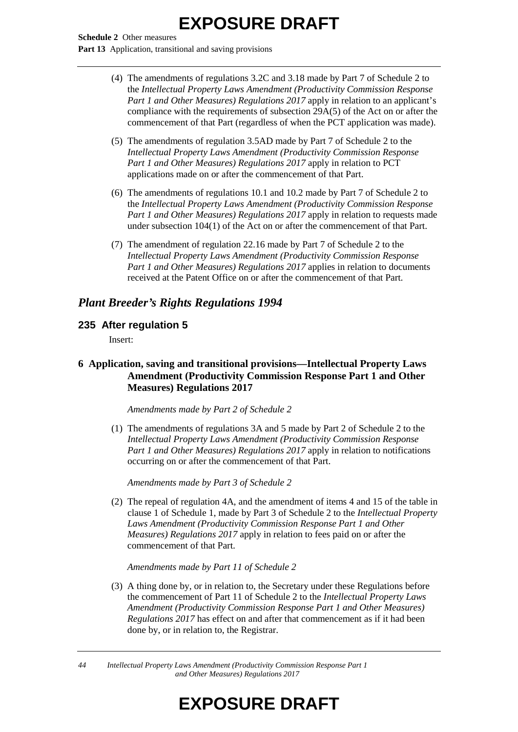**Schedule 2** Other measures Part 13 Application, transitional and saving provisions

- (4) The amendments of regulations 3.2C and 3.18 made by Part 7 of Schedule 2 to the *Intellectual Property Laws Amendment (Productivity Commission Response Part 1 and Other Measures) Regulations 2017* apply in relation to an applicant's compliance with the requirements of subsection 29A(5) of the Act on or after the commencement of that Part (regardless of when the PCT application was made).
- (5) The amendments of regulation 3.5AD made by Part 7 of Schedule 2 to the *Intellectual Property Laws Amendment (Productivity Commission Response Part 1 and Other Measures) Regulations 2017* apply in relation to PCT applications made on or after the commencement of that Part.
- (6) The amendments of regulations 10.1 and 10.2 made by Part 7 of Schedule 2 to the *Intellectual Property Laws Amendment (Productivity Commission Response Part 1 and Other Measures) Regulations 2017* apply in relation to requests made under subsection 104(1) of the Act on or after the commencement of that Part.
- (7) The amendment of regulation 22.16 made by Part 7 of Schedule 2 to the *Intellectual Property Laws Amendment (Productivity Commission Response Part 1 and Other Measures) Regulations 2017* applies in relation to documents received at the Patent Office on or after the commencement of that Part.

### *Plant Breeder's Rights Regulations 1994*

### **235 After regulation 5**

Insert:

#### **6 Application, saving and transitional provisions—Intellectual Property Laws Amendment (Productivity Commission Response Part 1 and Other Measures) Regulations 2017**

#### *Amendments made by Part 2 of Schedule 2*

(1) The amendments of regulations 3A and 5 made by Part 2 of Schedule 2 to the *Intellectual Property Laws Amendment (Productivity Commission Response Part 1 and Other Measures) Regulations 2017* apply in relation to notifications occurring on or after the commencement of that Part.

*Amendments made by Part 3 of Schedule 2*

(2) The repeal of regulation 4A, and the amendment of items 4 and 15 of the table in clause 1 of Schedule 1, made by Part 3 of Schedule 2 to the *Intellectual Property Laws Amendment (Productivity Commission Response Part 1 and Other Measures) Regulations 2017* apply in relation to fees paid on or after the commencement of that Part.

#### *Amendments made by Part 11 of Schedule 2*

(3) A thing done by, or in relation to, the Secretary under these Regulations before the commencement of Part 11 of Schedule 2 to the *Intellectual Property Laws Amendment (Productivity Commission Response Part 1 and Other Measures) Regulations 2017* has effect on and after that commencement as if it had been done by, or in relation to, the Registrar.

*44 Intellectual Property Laws Amendment (Productivity Commission Response Part 1 and Other Measures) Regulations 2017*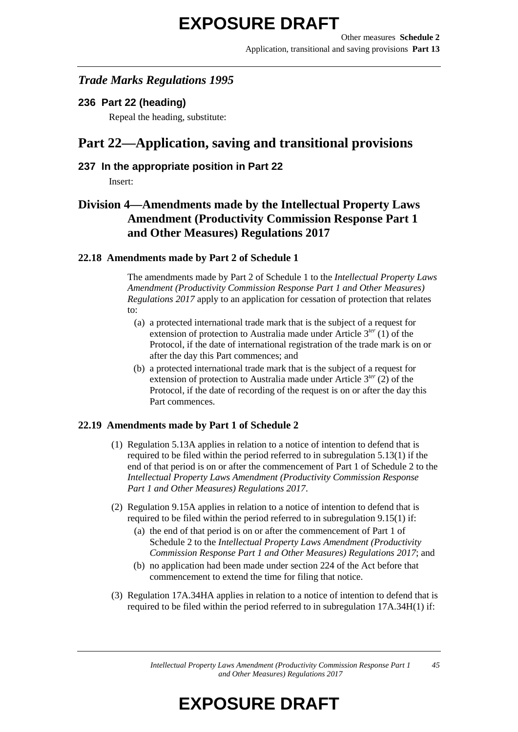### *Trade Marks Regulations 1995*

**236 Part 22 (heading)**

Repeal the heading, substitute:

## **Part 22—Application, saving and transitional provisions**

### **237 In the appropriate position in Part 22**

Insert:

### **Division 4—Amendments made by the Intellectual Property Laws Amendment (Productivity Commission Response Part 1 and Other Measures) Regulations 2017**

#### **22.18 Amendments made by Part 2 of Schedule 1**

The amendments made by Part 2 of Schedule 1 to the *Intellectual Property Laws Amendment (Productivity Commission Response Part 1 and Other Measures) Regulations 2017* apply to an application for cessation of protection that relates to:

- (a) a protected international trade mark that is the subject of a request for extension of protection to Australia made under Article 3<sup>ter</sup> (1) of the Protocol, if the date of international registration of the trade mark is on or after the day this Part commences; and
- (b) a protected international trade mark that is the subject of a request for extension of protection to Australia made under Article 3*ter* (2) of the Protocol, if the date of recording of the request is on or after the day this Part commences.

### **22.19 Amendments made by Part 1 of Schedule 2**

- (1) Regulation 5.13A applies in relation to a notice of intention to defend that is required to be filed within the period referred to in subregulation 5.13(1) if the end of that period is on or after the commencement of Part 1 of Schedule 2 to the *Intellectual Property Laws Amendment (Productivity Commission Response Part 1 and Other Measures) Regulations 2017*.
- (2) Regulation 9.15A applies in relation to a notice of intention to defend that is required to be filed within the period referred to in subregulation 9.15(1) if:
	- (a) the end of that period is on or after the commencement of Part 1 of Schedule 2 to the *Intellectual Property Laws Amendment (Productivity Commission Response Part 1 and Other Measures) Regulations 2017*; and
	- (b) no application had been made under section 224 of the Act before that commencement to extend the time for filing that notice.
- (3) Regulation 17A.34HA applies in relation to a notice of intention to defend that is required to be filed within the period referred to in subregulation 17A.34H(1) if:

*Intellectual Property Laws Amendment (Productivity Commission Response Part 1 and Other Measures) Regulations 2017 45*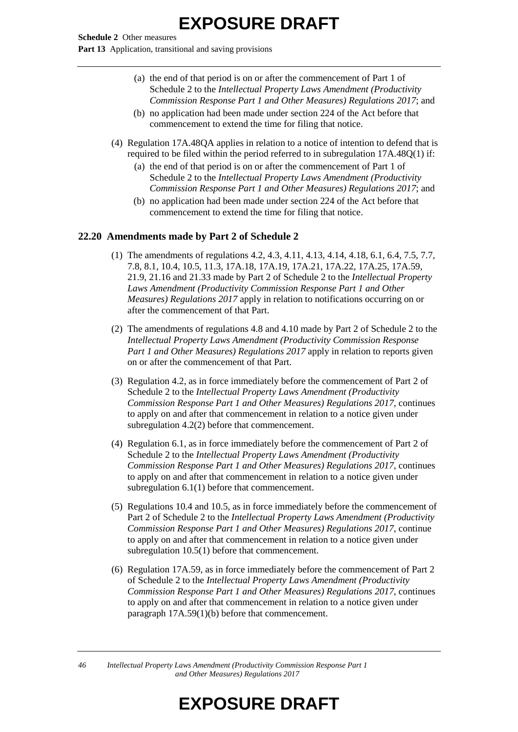**Schedule 2** Other measures **Part 13** Application, transitional and saving provisions

- (a) the end of that period is on or after the commencement of Part 1 of Schedule 2 to the *Intellectual Property Laws Amendment (Productivity Commission Response Part 1 and Other Measures) Regulations 2017*; and
- (b) no application had been made under section 224 of the Act before that commencement to extend the time for filing that notice.
- (4) Regulation 17A.48QA applies in relation to a notice of intention to defend that is required to be filed within the period referred to in subregulation 17A.48Q(1) if:
	- (a) the end of that period is on or after the commencement of Part 1 of Schedule 2 to the *Intellectual Property Laws Amendment (Productivity Commission Response Part 1 and Other Measures) Regulations 2017*; and
	- (b) no application had been made under section 224 of the Act before that commencement to extend the time for filing that notice.

#### **22.20 Amendments made by Part 2 of Schedule 2**

- (1) The amendments of regulations 4.2, 4.3, 4.11, 4.13, 4.14, 4.18, 6.1, 6.4, 7.5, 7.7, 7.8, 8.1, 10.4, 10.5, 11.3, 17A.18, 17A.19, 17A.21, 17A.22, 17A.25, 17A.59, 21.9, 21.16 and 21.33 made by Part 2 of Schedule 2 to the *Intellectual Property Laws Amendment (Productivity Commission Response Part 1 and Other Measures) Regulations 2017* apply in relation to notifications occurring on or after the commencement of that Part.
- (2) The amendments of regulations 4.8 and 4.10 made by Part 2 of Schedule 2 to the *Intellectual Property Laws Amendment (Productivity Commission Response Part 1 and Other Measures) Regulations 2017* apply in relation to reports given on or after the commencement of that Part.
- (3) Regulation 4.2, as in force immediately before the commencement of Part 2 of Schedule 2 to the *Intellectual Property Laws Amendment (Productivity Commission Response Part 1 and Other Measures) Regulations 2017*, continues to apply on and after that commencement in relation to a notice given under subregulation 4.2(2) before that commencement.
- (4) Regulation 6.1, as in force immediately before the commencement of Part 2 of Schedule 2 to the *Intellectual Property Laws Amendment (Productivity Commission Response Part 1 and Other Measures) Regulations 2017*, continues to apply on and after that commencement in relation to a notice given under subregulation 6.1(1) before that commencement.
- (5) Regulations 10.4 and 10.5, as in force immediately before the commencement of Part 2 of Schedule 2 to the *Intellectual Property Laws Amendment (Productivity Commission Response Part 1 and Other Measures) Regulations 2017*, continue to apply on and after that commencement in relation to a notice given under subregulation 10.5(1) before that commencement.
- (6) Regulation 17A.59, as in force immediately before the commencement of Part 2 of Schedule 2 to the *Intellectual Property Laws Amendment (Productivity Commission Response Part 1 and Other Measures) Regulations 2017*, continues to apply on and after that commencement in relation to a notice given under paragraph 17A.59(1)(b) before that commencement.

*46 Intellectual Property Laws Amendment (Productivity Commission Response Part 1 and Other Measures) Regulations 2017*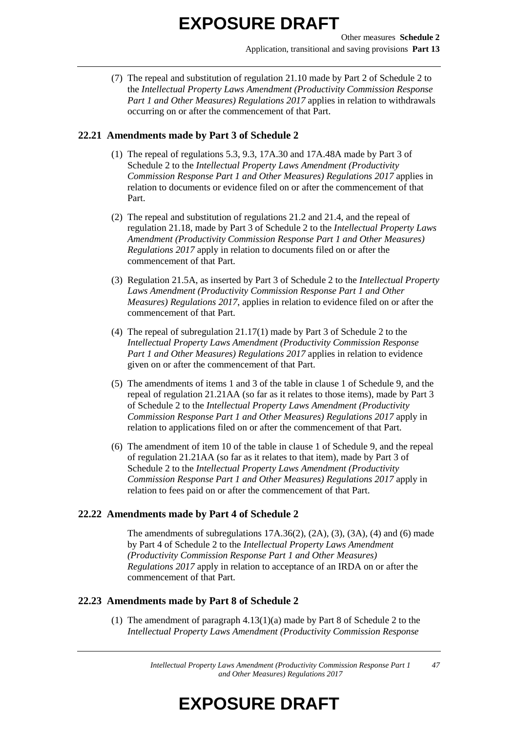(7) The repeal and substitution of regulation 21.10 made by Part 2 of Schedule 2 to the *Intellectual Property Laws Amendment (Productivity Commission Response Part 1 and Other Measures) Regulations 2017* applies in relation to withdrawals occurring on or after the commencement of that Part.

#### **22.21 Amendments made by Part 3 of Schedule 2**

- (1) The repeal of regulations 5.3, 9.3, 17A.30 and 17A.48A made by Part 3 of Schedule 2 to the *Intellectual Property Laws Amendment (Productivity Commission Response Part 1 and Other Measures) Regulations 2017* applies in relation to documents or evidence filed on or after the commencement of that Part.
- (2) The repeal and substitution of regulations 21.2 and 21.4, and the repeal of regulation 21.18, made by Part 3 of Schedule 2 to the *Intellectual Property Laws Amendment (Productivity Commission Response Part 1 and Other Measures) Regulations 2017* apply in relation to documents filed on or after the commencement of that Part.
- (3) Regulation 21.5A, as inserted by Part 3 of Schedule 2 to the *Intellectual Property Laws Amendment (Productivity Commission Response Part 1 and Other Measures) Regulations 2017*, applies in relation to evidence filed on or after the commencement of that Part.
- (4) The repeal of subregulation 21.17(1) made by Part 3 of Schedule 2 to the *Intellectual Property Laws Amendment (Productivity Commission Response Part 1 and Other Measures) Regulations 2017* applies in relation to evidence given on or after the commencement of that Part.
- (5) The amendments of items 1 and 3 of the table in clause 1 of Schedule 9, and the repeal of regulation 21.21AA (so far as it relates to those items), made by Part 3 of Schedule 2 to the *Intellectual Property Laws Amendment (Productivity Commission Response Part 1 and Other Measures) Regulations 2017* apply in relation to applications filed on or after the commencement of that Part.
- (6) The amendment of item 10 of the table in clause 1 of Schedule 9, and the repeal of regulation 21.21AA (so far as it relates to that item), made by Part 3 of Schedule 2 to the *Intellectual Property Laws Amendment (Productivity Commission Response Part 1 and Other Measures) Regulations 2017* apply in relation to fees paid on or after the commencement of that Part.

#### **22.22 Amendments made by Part 4 of Schedule 2**

The amendments of subregulations  $17A.36(2)$ ,  $(2A)$ ,  $(3)$ ,  $(3A)$ ,  $(4)$  and  $(6)$  made by Part 4 of Schedule 2 to the *Intellectual Property Laws Amendment (Productivity Commission Response Part 1 and Other Measures) Regulations 2017* apply in relation to acceptance of an IRDA on or after the commencement of that Part.

#### **22.23 Amendments made by Part 8 of Schedule 2**

(1) The amendment of paragraph 4.13(1)(a) made by Part 8 of Schedule 2 to the *Intellectual Property Laws Amendment (Productivity Commission Response*